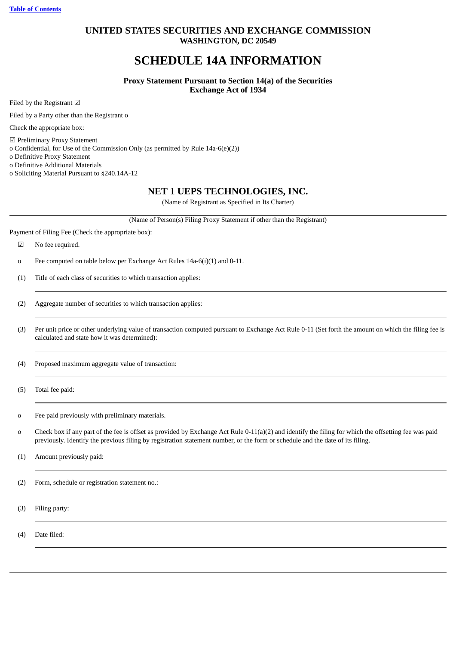# **UNITED STATES SECURITIES AND EXCHANGE COMMISSION WASHINGTON, DC 20549**

# **SCHEDULE 14A INFORMATION**

**Proxy Statement Pursuant to Section 14(a) of the Securities Exchange Act of 1934**

Filed by the Registrant ☑

Filed by a Party other than the Registrant o

Check the appropriate box:

☑ Preliminary Proxy Statement

o Confidential, for Use of the Commission Only (as permitted by Rule 14a-6(e)(2))

o Definitive Proxy Statement

o Definitive Additional Materials

o Soliciting Material Pursuant to §240.14A-12

# **NET 1 UEPS TECHNOLOGIES, INC.**

(Name of Registrant as Specified in Its Charter)

(Name of Person(s) Filing Proxy Statement if other than the Registrant)

Payment of Filing Fee (Check the appropriate box):

☑ No fee required.

o Fee computed on table below per Exchange Act Rules 14a-6(i)(1) and 0-11.

(1) Title of each class of securities to which transaction applies:

(2) Aggregate number of securities to which transaction applies:

(3) Per unit price or other underlying value of transaction computed pursuant to Exchange Act Rule 0-11 (Set forth the amount on which the filing fee is calculated and state how it was determined):

(4) Proposed maximum aggregate value of transaction:

(5) Total fee paid:

o Fee paid previously with preliminary materials.

o Check box if any part of the fee is offset as provided by Exchange Act Rule 0-11(a)(2) and identify the filing for which the offsetting fee was paid previously. Identify the previous filing by registration statement number, or the form or schedule and the date of its filing.

(1) Amount previously paid:

(2) Form, schedule or registration statement no.:

(3) Filing party:

(4) Date filed: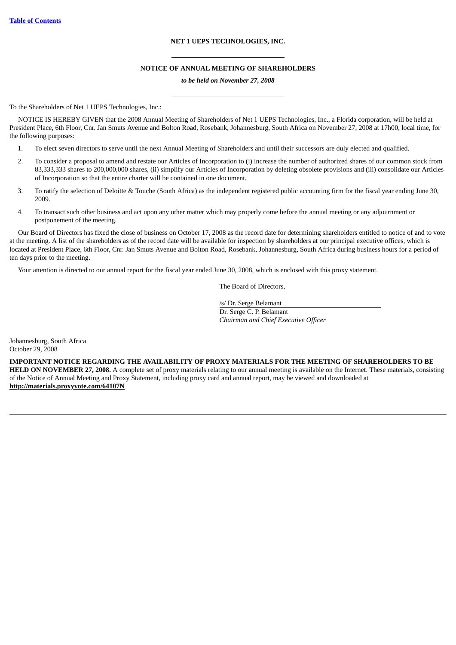# **NET 1 UEPS TECHNOLOGIES, INC.**

### **NOTICE OF ANNUAL MEETING OF SHAREHOLDERS**

### *to be held on November 27, 2008*

To the Shareholders of Net 1 UEPS Technologies, Inc.:

NOTICE IS HEREBY GIVEN that the 2008 Annual Meeting of Shareholders of Net 1 UEPS Technologies, Inc., a Florida corporation, will be held at President Place, 6th Floor, Cnr. Jan Smuts Avenue and Bolton Road, Rosebank, Johannesburg, South Africa on November 27, 2008 at 17h00, local time, for the following purposes:

- 1. To elect seven directors to serve until the next Annual Meeting of Shareholders and until their successors are duly elected and qualified.
- 2. To consider a proposal to amend and restate our Articles of Incorporation to (i) increase the number of authorized shares of our common stock from 83,333,333 shares to 200,000,000 shares, (ii) simplify our Articles of Incorporation by deleting obsolete provisions and (iii) consolidate our Articles of Incorporation so that the entire charter will be contained in one document.
- 3. To ratify the selection of Deloitte & Touche (South Africa) as the independent registered public accounting firm for the fiscal year ending June 30, 2009.
- 4. To transact such other business and act upon any other matter which may properly come before the annual meeting or any adjournment or postponement of the meeting.

Our Board of Directors has fixed the close of business on October 17, 2008 as the record date for determining shareholders entitled to notice of and to vote at the meeting. A list of the shareholders as of the record date will be available for inspection by shareholders at our principal executive offices, which is located at President Place, 6th Floor, Cnr. Jan Smuts Avenue and Bolton Road, Rosebank, Johannesburg, South Africa during business hours for a period of ten days prior to the meeting.

Your attention is directed to our annual report for the fiscal year ended June 30, 2008, which is enclosed with this proxy statement.

The Board of Directors,

/s/ Dr. Serge Belamant Dr. Serge C. P. Belamant *Chairman and Chief Executive Officer*

Johannesburg, South Africa October 29, 2008

**IMPORTANT NOTICE REGARDING THE AVAILABILITY OF PROXY MATERIALS FOR THE MEETING OF SHAREHOLDERS TO BE HELD ON NOVEMBER 27, 2008.** A complete set of proxy materials relating to our annual meeting is available on the Internet. These materials, consisting of the Notice of Annual Meeting and Proxy Statement, including proxy card and annual report, may be viewed and downloaded at **http://materials.proxyvote.com/64107N**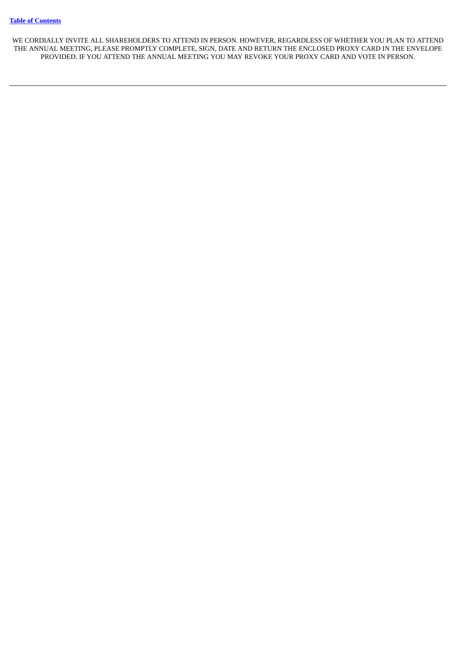WE CORDIALLY INVITE ALL SHAREHOLDERS TO ATTEND IN PERSON. HOWEVER, REGARDLESS OF WHETHER YOU PLAN TO ATTEND THE ANNUAL MEETING, PLEASE PROMPTLY COMPLETE, SIGN, DATE AND RETURN THE ENCLOSED PROXY CARD IN THE ENVELOPE PROVIDED. IF YOU ATTEND THE ANNUAL MEETING YOU MAY REVOKE YOUR PROXY CARD AND VOTE IN PERSON.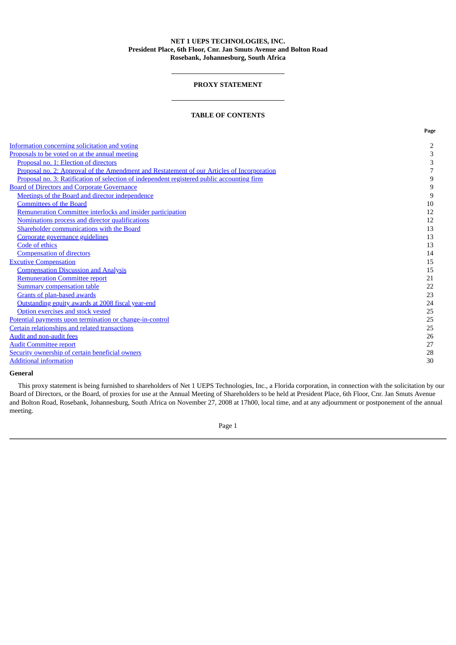# **NET 1 UEPS TECHNOLOGIES, INC. President Place, 6th Floor, Cnr. Jan Smuts Avenue and Bolton Road Rosebank, Johannesburg, South Africa**

# **PROXY STATEMENT**

# **TABLE OF CONTENTS**

<span id="page-4-0"></span>

|                                                                                            | Page                     |
|--------------------------------------------------------------------------------------------|--------------------------|
| Information concerning solicitation and voting                                             | 2                        |
| Proposals to be voted on at the annual meeting                                             | 3                        |
| Proposal no. 1: Election of directors                                                      | 3                        |
| Proposal no. 2: Approval of the Amendment and Restatement of our Articles of Incorporation | $\overline{\phantom{a}}$ |
| Proposal no. 3: Ratification of selection of independent registered public accounting firm | $\boldsymbol{9}$         |
| <b>Board of Directors and Corporate Governance</b>                                         | $\boldsymbol{9}$         |
| Meetings of the Board and director independence                                            | 9                        |
| <b>Committees of the Board</b>                                                             | 10                       |
| Remuneration Committee interlocks and insider participation                                | 12                       |
| Nominations process and director qualifications                                            | 12                       |
| Shareholder communications with the Board                                                  | 13                       |
| Corporate governance guidelines                                                            | 13                       |
| Code of ethics                                                                             | 13                       |
| <b>Compensation of directors</b>                                                           | 14                       |
| <b>Excutive Compensation</b>                                                               | 15                       |
| <b>Compensation Discussion and Analysis</b>                                                | 15                       |
| <b>Remuneration Committee report</b>                                                       | 21                       |
| <b>Summary compensation table</b>                                                          | 22                       |
| <b>Grants of plan-based awards</b>                                                         | 23                       |
| Outstanding equity awards at 2008 fiscal year-end                                          | 24                       |
| Option exercises and stock vested                                                          | 25                       |
| Potential payments upon termination or change-in-control                                   | 25                       |
| Certain relationships and related transactions                                             | 25                       |
| <b>Audit and non-audit fees</b>                                                            | 26                       |
| <b>Audit Committee report</b>                                                              | 27                       |
| Security ownership of certain beneficial owners                                            | 28                       |
| <b>Additional information</b>                                                              | 30                       |

### **General**

This proxy statement is being furnished to shareholders of Net 1 UEPS Technologies, Inc., a Florida corporation, in connection with the solicitation by our Board of Directors, or the Board, of proxies for use at the Annual Meeting of Shareholders to be held at President Place, 6th Floor, Cnr. Jan Smuts Avenue and Bolton Road, Rosebank, Johannesburg, South Africa on November 27, 2008 at 17h00, local time, and at any adjournment or postponement of the annual meeting.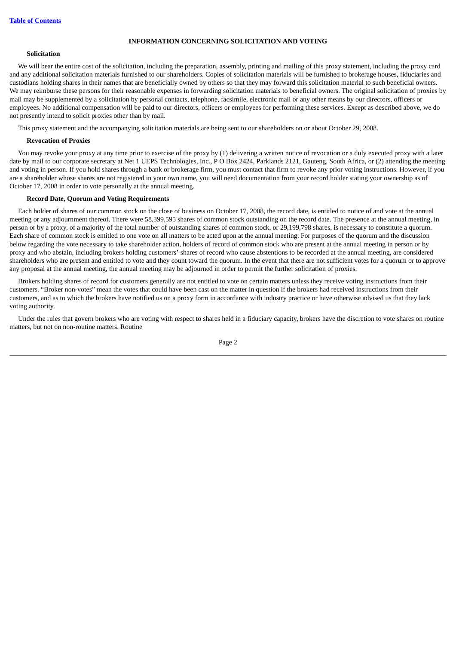### **INFORMATION CONCERNING SOLICITATION AND VOTING**

### <span id="page-5-0"></span>**Solicitation**

We will bear the entire cost of the solicitation, including the preparation, assembly, printing and mailing of this proxy statement, including the proxy card and any additional solicitation materials furnished to our shareholders. Copies of solicitation materials will be furnished to brokerage houses, fiduciaries and custodians holding shares in their names that are beneficially owned by others so that they may forward this solicitation material to such beneficial owners. We may reimburse these persons for their reasonable expenses in forwarding solicitation materials to beneficial owners. The original solicitation of proxies by mail may be supplemented by a solicitation by personal contacts, telephone, facsimile, electronic mail or any other means by our directors, officers or employees. No additional compensation will be paid to our directors, officers or employees for performing these services. Except as described above, we do not presently intend to solicit proxies other than by mail.

This proxy statement and the accompanying solicitation materials are being sent to our shareholders on or about October 29, 2008.

### **Revocation of Proxies**

You may revoke your proxy at any time prior to exercise of the proxy by (1) delivering a written notice of revocation or a duly executed proxy with a later date by mail to our corporate secretary at Net 1 UEPS Technologies, Inc., P O Box 2424, Parklands 2121, Gauteng, South Africa, or (2) attending the meeting and voting in person. If you hold shares through a bank or brokerage firm, you must contact that firm to revoke any prior voting instructions. However, if you are a shareholder whose shares are not registered in your own name, you will need documentation from your record holder stating your ownership as of October 17, 2008 in order to vote personally at the annual meeting.

# **Record Date, Quorum and Voting Requirements**

Each holder of shares of our common stock on the close of business on October 17, 2008, the record date, is entitled to notice of and vote at the annual meeting or any adjournment thereof. There were 58,399,595 shares of common stock outstanding on the record date. The presence at the annual meeting, in person or by a proxy, of a majority of the total number of outstanding shares of common stock, or 29,199,798 shares, is necessary to constitute a quorum. Each share of common stock is entitled to one vote on all matters to be acted upon at the annual meeting. For purposes of the quorum and the discussion below regarding the vote necessary to take shareholder action, holders of record of common stock who are present at the annual meeting in person or by proxy and who abstain, including brokers holding customers' shares of record who cause abstentions to be recorded at the annual meeting, are considered shareholders who are present and entitled to vote and they count toward the quorum. In the event that there are not sufficient votes for a quorum or to approve any proposal at the annual meeting, the annual meeting may be adjourned in order to permit the further solicitation of proxies.

Brokers holding shares of record for customers generally are not entitled to vote on certain matters unless they receive voting instructions from their customers. "Broker non-votes" mean the votes that could have been cast on the matter in question if the brokers had received instructions from their customers, and as to which the brokers have notified us on a proxy form in accordance with industry practice or have otherwise advised us that they lack voting authority.

Under the rules that govern brokers who are voting with respect to shares held in a fiduciary capacity, brokers have the discretion to vote shares on routine matters, but not on non-routine matters. Routine

Page 2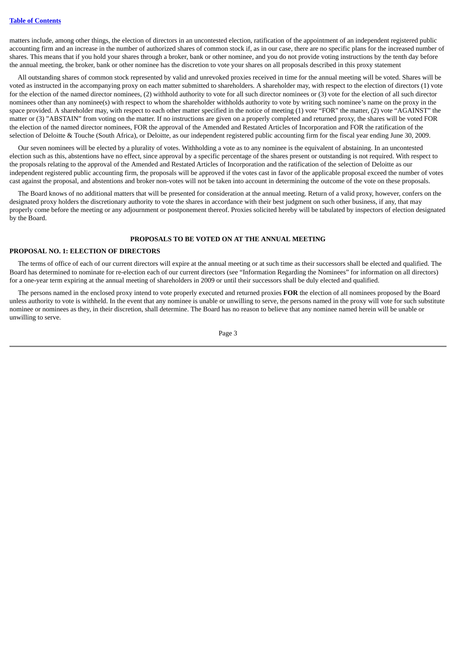matters include, among other things, the election of directors in an uncontested election, ratification of the appointment of an independent registered public accounting firm and an increase in the number of authorized shares of common stock if, as in our case, there are no specific plans for the increased number of shares. This means that if you hold your shares through a broker, bank or other nominee, and you do not provide voting instructions by the tenth day before the annual meeting, the broker, bank or other nominee has the discretion to vote your shares on all proposals described in this proxy statement

All outstanding shares of common stock represented by valid and unrevoked proxies received in time for the annual meeting will be voted. Shares will be voted as instructed in the accompanying proxy on each matter submitted to shareholders. A shareholder may, with respect to the election of directors (1) vote for the election of the named director nominees, (2) withhold authority to vote for all such director nominees or (3) vote for the election of all such director nominees other than any nominee(s) with respect to whom the shareholder withholds authority to vote by writing such nominee's name on the proxy in the space provided. A shareholder may, with respect to each other matter specified in the notice of meeting (1) vote "FOR" the matter, (2) vote "AGAINST" the matter or (3) "ABSTAIN" from voting on the matter. If no instructions are given on a properly completed and returned proxy, the shares will be voted FOR the election of the named director nominees, FOR the approval of the Amended and Restated Articles of Incorporation and FOR the ratification of the selection of Deloitte & Touche (South Africa), or Deloitte, as our independent registered public accounting firm for the fiscal year ending June 30, 2009.

Our seven nominees will be elected by a plurality of votes. Withholding a vote as to any nominee is the equivalent of abstaining. In an uncontested election such as this, abstentions have no effect, since approval by a specific percentage of the shares present or outstanding is not required. With respect to the proposals relating to the approval of the Amended and Restated Articles of Incorporation and the ratification of the selection of Deloitte as our independent registered public accounting firm, the proposals will be approved if the votes cast in favor of the applicable proposal exceed the number of votes cast against the proposal, and abstentions and broker non-votes will not be taken into account in determining the outcome of the vote on these proposals.

The Board knows of no additional matters that will be presented for consideration at the annual meeting. Return of a valid proxy, however, confers on the designated proxy holders the discretionary authority to vote the shares in accordance with their best judgment on such other business, if any, that may properly come before the meeting or any adjournment or postponement thereof. Proxies solicited hereby will be tabulated by inspectors of election designated by the Board.

# **PROPOSALS TO BE VOTED ON AT THE ANNUAL MEETING**

### <span id="page-6-1"></span><span id="page-6-0"></span>**PROPOSAL NO. 1: ELECTION OF DIRECTORS**

The terms of office of each of our current directors will expire at the annual meeting or at such time as their successors shall be elected and qualified. The Board has determined to nominate for re-election each of our current directors (see "Information Regarding the Nominees" for information on all directors) for a one-year term expiring at the annual meeting of shareholders in 2009 or until their successors shall be duly elected and qualified.

The persons named in the enclosed proxy intend to vote properly executed and returned proxies **FOR** the election of all nominees proposed by the Board unless authority to vote is withheld. In the event that any nominee is unable or unwilling to serve, the persons named in the proxy will vote for such substitute nominee or nominees as they, in their discretion, shall determine. The Board has no reason to believe that any nominee named herein will be unable or unwilling to serve.

Page 3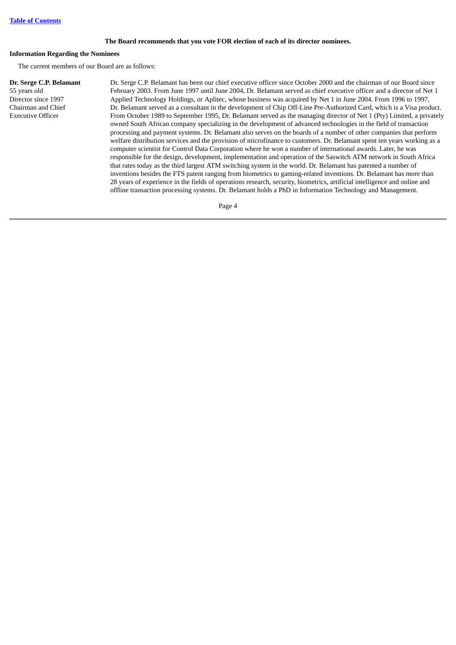# **The Board recommends that you vote FOR election of each of its director nominees.**

### **Information Regarding the Nominees**

The current members of our Board are as follows:

# **Dr. Serge C.P. Belamant**

55 years old Director since 1997 Chairman and Chief Executive Officer

Dr. Serge C.P. Belamant has been our chief executive officer since October 2000 and the chairman of our Board since February 2003. From June 1997 until June 2004, Dr. Belamant served as chief executive officer and a director of Net 1 Applied Technology Holdings, or Aplitec, whose business was acquired by Net 1 in June 2004. From 1996 to 1997, Dr. Belamant served as a consultant in the development of Chip Off-Line Pre-Authorized Card, which is a Visa product. From October 1989 to September 1995, Dr. Belamant served as the managing director of Net 1 (Pty) Limited, a privately owned South African company specializing in the development of advanced technologies in the field of transaction processing and payment systems. Dr. Belamant also serves on the boards of a number of other companies that perform welfare distribution services and the provision of microfinance to customers. Dr. Belamant spent ten years working as a computer scientist for Control Data Corporation where he won a number of international awards. Later, he was responsible for the design, development, implementation and operation of the Saswitch ATM network in South Africa that rates today as the third largest ATM switching system in the world. Dr. Belamant has patented a number of inventions besides the FTS patent ranging from biometrics to gaming-related inventions. Dr. Belamant has more than 28 years of experience in the fields of operations research, security, biometrics, artificial intelligence and online and offline transaction processing systems. Dr. Belamant holds a PhD in Information Technology and Management.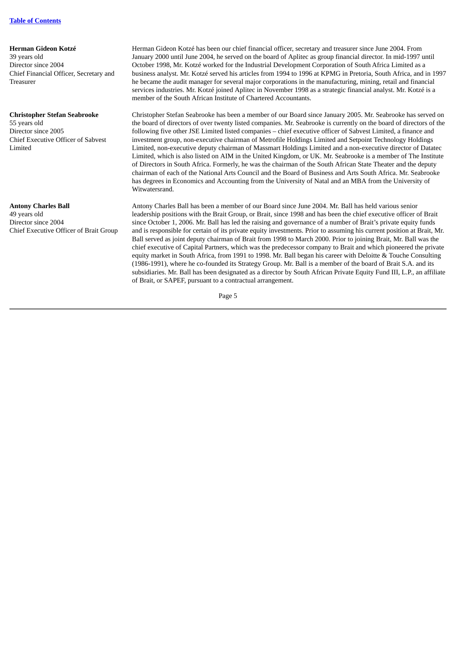#### **Herman Gideon Kotzé**

39 years old Director since 2004 Chief Financial Officer, Secretary and Treasurer

### **Christopher Stefan Seabrooke**

55 years old Director since 2005 Chief Executive Officer of Sabvest Limited

### **Antony Charles Ball**

49 years old Director since 2004 Chief Executive Officer of Brait Group

Herman Gideon Kotzé has been our chief financial officer, secretary and treasurer since June 2004. From January 2000 until June 2004, he served on the board of Aplitec as group financial director. In mid-1997 until October 1998, Mr. Kotzé worked for the Industrial Development Corporation of South Africa Limited as a business analyst. Mr. Kotzé served his articles from 1994 to 1996 at KPMG in Pretoria, South Africa, and in 1997 he became the audit manager for several major corporations in the manufacturing, mining, retail and financial services industries. Mr. Kotzé joined Aplitec in November 1998 as a strategic financial analyst. Mr. Kotzé is a member of the South African Institute of Chartered Accountants.

Christopher Stefan Seabrooke has been a member of our Board since January 2005. Mr. Seabrooke has served on the board of directors of over twenty listed companies. Mr. Seabrooke is currently on the board of directors of the following five other JSE Limited listed companies – chief executive officer of Sabvest Limited, a finance and investment group, non-executive chairman of Metrofile Holdings Limited and Setpoint Technology Holdings Limited, non-executive deputy chairman of Massmart Holdings Limited and a non-executive director of Datatec Limited, which is also listed on AIM in the United Kingdom, or UK. Mr. Seabrooke is a member of The Institute of Directors in South Africa. Formerly, he was the chairman of the South African State Theater and the deputy chairman of each of the National Arts Council and the Board of Business and Arts South Africa. Mr. Seabrooke has degrees in Economics and Accounting from the University of Natal and an MBA from the University of Witwatersrand.

Antony Charles Ball has been a member of our Board since June 2004. Mr. Ball has held various senior leadership positions with the Brait Group, or Brait, since 1998 and has been the chief executive officer of Brait since October 1, 2006. Mr. Ball has led the raising and governance of a number of Brait's private equity funds and is responsible for certain of its private equity investments. Prior to assuming his current position at Brait, Mr. Ball served as joint deputy chairman of Brait from 1998 to March 2000. Prior to joining Brait, Mr. Ball was the chief executive of Capital Partners, which was the predecessor company to Brait and which pioneered the private equity market in South Africa, from 1991 to 1998. Mr. Ball began his career with Deloitte & Touche Consulting (1986-1991), where he co-founded its Strategy Group. Mr. Ball is a member of the board of Brait S.A. and its subsidiaries. Mr. Ball has been designated as a director by South African Private Equity Fund III, L.P., an affiliate of Brait, or SAPEF, pursuant to a contractual arrangement.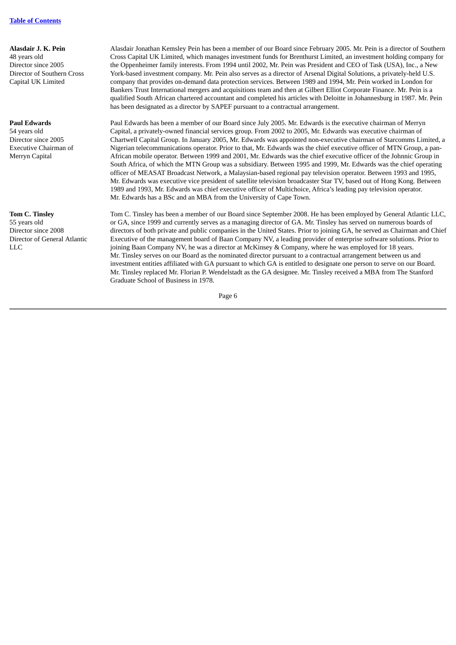**Alasdair J. K. Pein** 48 years old Director since 2005 Director of Southern Cross Capital UK Limited

# **Paul Edwards**

54 years old Director since 2005 Executive Chairman of Merryn Capital

# **Tom C. Tinsley** 55 years old Director since 2008 Director of General Atlantic LLC

Alasdair Jonathan Kemsley Pein has been a member of our Board since February 2005. Mr. Pein is a director of Southern Cross Capital UK Limited, which manages investment funds for Brenthurst Limited, an investment holding company for the Oppenheimer family interests. From 1994 until 2002, Mr. Pein was President and CEO of Task (USA), Inc., a New York-based investment company. Mr. Pein also serves as a director of Arsenal Digital Solutions, a privately-held U.S. company that provides on-demand data protection services. Between 1989 and 1994, Mr. Pein worked in London for Bankers Trust International mergers and acquisitions team and then at Gilbert Elliot Corporate Finance. Mr. Pein is a qualified South African chartered accountant and completed his articles with Deloitte in Johannesburg in 1987. Mr. Pein has been designated as a director by SAPEF pursuant to a contractual arrangement.

Paul Edwards has been a member of our Board since July 2005. Mr. Edwards is the executive chairman of Merryn Capital, a privately-owned financial services group. From 2002 to 2005, Mr. Edwards was executive chairman of Chartwell Capital Group. In January 2005, Mr. Edwards was appointed non-executive chairman of Starcomms Limited, a Nigerian telecommunications operator. Prior to that, Mr. Edwards was the chief executive officer of MTN Group, a pan-African mobile operator. Between 1999 and 2001, Mr. Edwards was the chief executive officer of the Johnnic Group in South Africa, of which the MTN Group was a subsidiary. Between 1995 and 1999, Mr. Edwards was the chief operating officer of MEASAT Broadcast Network, a Malaysian-based regional pay television operator. Between 1993 and 1995, Mr. Edwards was executive vice president of satellite television broadcaster Star TV, based out of Hong Kong. Between 1989 and 1993, Mr. Edwards was chief executive officer of Multichoice, Africa's leading pay television operator. Mr. Edwards has a BSc and an MBA from the University of Cape Town.

Tom C. Tinsley has been a member of our Board since September 2008. He has been employed by General Atlantic LLC, or GA, since 1999 and currently serves as a managing director of GA. Mr. Tinsley has served on numerous boards of directors of both private and public companies in the United States. Prior to joining GA, he served as Chairman and Chief Executive of the management board of Baan Company NV, a leading provider of enterprise software solutions. Prior to joining Baan Company NV, he was a director at McKinsey & Company, where he was employed for 18 years. Mr. Tinsley serves on our Board as the nominated director pursuant to a contractual arrangement between us and investment entities affiliated with GA pursuant to which GA is entitled to designate one person to serve on our Board. Mr. Tinsley replaced Mr. Florian P. Wendelstadt as the GA designee. Mr. Tinsley received a MBA from The Stanford Graduate School of Business in 1978.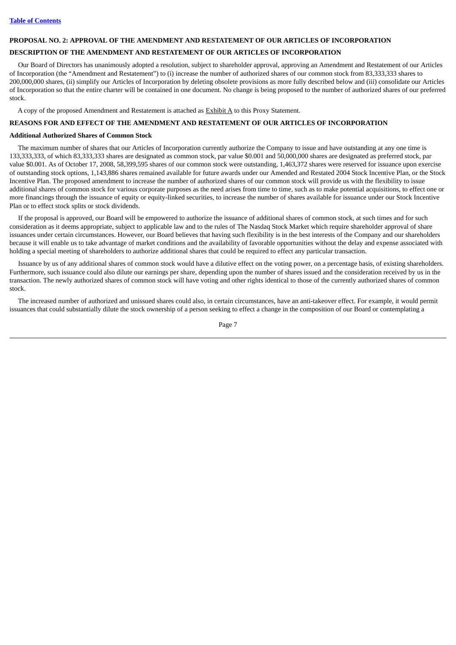### <span id="page-10-0"></span>**PROPOSAL NO. 2: APPROVAL OF THE AMENDMENT AND RESTATEMENT OF OUR ARTICLES OF INCORPORATION**

### **DESCRIPTION OF THE AMENDMENT AND RESTATEMENT OF OUR ARTICLES OF INCORPORATION**

Our Board of Directors has unanimously adopted a resolution, subject to shareholder approval, approving an Amendment and Restatement of our Articles of Incorporation (the "Amendment and Restatement") to (i) increase the number of authorized shares of our common stock from 83,333,333 shares to 200,000,000 shares, (ii) simplify our Articles of Incorporation by deleting obsolete provisions as more fully described below and (iii) consolidate our Articles of Incorporation so that the entire charter will be contained in one document. No change is being proposed to the number of authorized shares of our preferred stock.

A copy of the proposed Amendment and Restatement is attached as **Exhibit A** to this Proxy Statement.

# **REASONS FOR AND EFFECT OF THE AMENDMENT AND RESTATEMENT OF OUR ARTICLES OF INCORPORATION**

### **Additional Authorized Shares of Common Stock**

The maximum number of shares that our Articles of Incorporation currently authorize the Company to issue and have outstanding at any one time is 133,333,333, of which 83,333,333 shares are designated as common stock, par value \$0.001 and 50,000,000 shares are designated as preferred stock, par value \$0.001. As of October 17, 2008, 58,399,595 shares of our common stock were outstanding, 1,463,372 shares were reserved for issuance upon exercise of outstanding stock options, 1,143,886 shares remained available for future awards under our Amended and Restated 2004 Stock Incentive Plan, or the Stock Incentive Plan. The proposed amendment to increase the number of authorized shares of our common stock will provide us with the flexibility to issue additional shares of common stock for various corporate purposes as the need arises from time to time, such as to make potential acquisitions, to effect one or more financings through the issuance of equity or equity-linked securities, to increase the number of shares available for issuance under our Stock Incentive Plan or to effect stock splits or stock dividends.

If the proposal is approved, our Board will be empowered to authorize the issuance of additional shares of common stock, at such times and for such consideration as it deems appropriate, subject to applicable law and to the rules of The Nasdaq Stock Market which require shareholder approval of share issuances under certain circumstances. However, our Board believes that having such flexibility is in the best interests of the Company and our shareholders because it will enable us to take advantage of market conditions and the availability of favorable opportunities without the delay and expense associated with holding a special meeting of shareholders to authorize additional shares that could be required to effect any particular transaction.

Issuance by us of any additional shares of common stock would have a dilutive effect on the voting power, on a percentage basis, of existing shareholders. Furthermore, such issuance could also dilute our earnings per share, depending upon the number of shares issued and the consideration received by us in the transaction. The newly authorized shares of common stock will have voting and other rights identical to those of the currently authorized shares of common stock.

The increased number of authorized and unissued shares could also, in certain circumstances, have an anti-takeover effect. For example, it would permit issuances that could substantially dilute the stock ownership of a person seeking to effect a change in the composition of our Board or contemplating a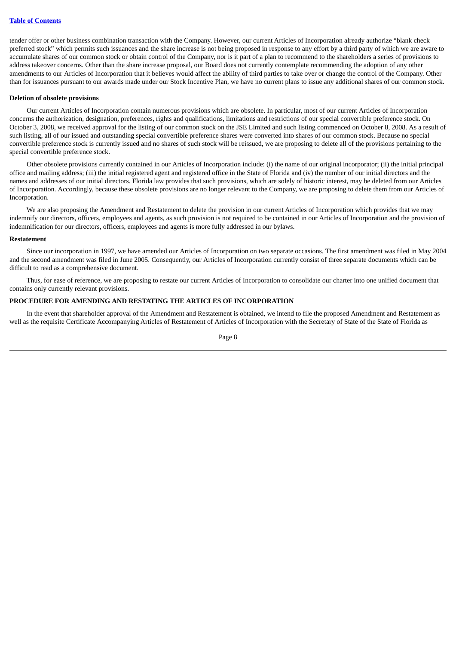tender offer or other business combination transaction with the Company. However, our current Articles of Incorporation already authorize "blank check preferred stock" which permits such issuances and the share increase is not being proposed in response to any effort by a third party of which we are aware to accumulate shares of our common stock or obtain control of the Company, nor is it part of a plan to recommend to the shareholders a series of provisions to address takeover concerns. Other than the share increase proposal, our Board does not currently contemplate recommending the adoption of any other amendments to our Articles of Incorporation that it believes would affect the ability of third parties to take over or change the control of the Company. Other than for issuances pursuant to our awards made under our Stock Incentive Plan, we have no current plans to issue any additional shares of our common stock.

### **Deletion of obsolete provisions**

Our current Articles of Incorporation contain numerous provisions which are obsolete. In particular, most of our current Articles of Incorporation concerns the authorization, designation, preferences, rights and qualifications, limitations and restrictions of our special convertible preference stock. On October 3, 2008, we received approval for the listing of our common stock on the JSE Limited and such listing commenced on October 8, 2008. As a result of such listing, all of our issued and outstanding special convertible preference shares were converted into shares of our common stock. Because no special convertible preference stock is currently issued and no shares of such stock will be reissued, we are proposing to delete all of the provisions pertaining to the special convertible preference stock.

Other obsolete provisions currently contained in our Articles of Incorporation include: (i) the name of our original incorporator; (ii) the initial principal office and mailing address; (iii) the initial registered agent and registered office in the State of Florida and (iv) the number of our initial directors and the names and addresses of our initial directors. Florida law provides that such provisions, which are solely of historic interest, may be deleted from our Articles of Incorporation. Accordingly, because these obsolete provisions are no longer relevant to the Company, we are proposing to delete them from our Articles of Incorporation.

We are also proposing the Amendment and Restatement to delete the provision in our current Articles of Incorporation which provides that we may indemnify our directors, officers, employees and agents, as such provision is not required to be contained in our Articles of Incorporation and the provision of indemnification for our directors, officers, employees and agents is more fully addressed in our bylaws.

### **Restatement**

Since our incorporation in 1997, we have amended our Articles of Incorporation on two separate occasions. The first amendment was filed in May 2004 and the second amendment was filed in June 2005. Consequently, our Articles of Incorporation currently consist of three separate documents which can be difficult to read as a comprehensive document.

Thus, for ease of reference, we are proposing to restate our current Articles of Incorporation to consolidate our charter into one unified document that contains only currently relevant provisions.

### **PROCEDURE FOR AMENDING AND RESTATING THE ARTICLES OF INCORPORATION**

In the event that shareholder approval of the Amendment and Restatement is obtained, we intend to file the proposed Amendment and Restatement as well as the requisite Certificate Accompanying Articles of Restatement of Articles of Incorporation with the Secretary of State of the State of Florida as

Page 8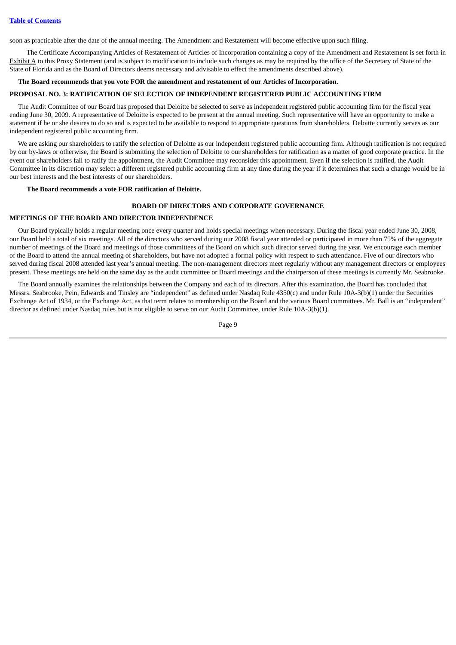soon as practicable after the date of the annual meeting. The Amendment and Restatement will become effective upon such filing.

The Certificate Accompanying Articles of Restatement of Articles of Incorporation containing a copy of the Amendment and Restatement is set forth in Exhibit A to this Proxy Statement (and is subject to modification to include such changes as may be required by the office of the Secretary of State of the State of Florida and as the Board of Directors deems necessary and advisable to effect the amendments described above).

# **The Board recommends that you vote FOR the amendment and restatement of our Articles of Incorporation**.

### <span id="page-12-0"></span>**PROPOSAL NO. 3: RATIFICATION OF SELECTION OF INDEPENDENT REGISTERED PUBLIC ACCOUNTING FIRM**

The Audit Committee of our Board has proposed that Deloitte be selected to serve as independent registered public accounting firm for the fiscal year ending June 30, 2009. A representative of Deloitte is expected to be present at the annual meeting. Such representative will have an opportunity to make a statement if he or she desires to do so and is expected to be available to respond to appropriate questions from shareholders. Deloitte currently serves as our independent registered public accounting firm.

We are asking our shareholders to ratify the selection of Deloitte as our independent registered public accounting firm. Although ratification is not required by our by-laws or otherwise, the Board is submitting the selection of Deloitte to our shareholders for ratification as a matter of good corporate practice. In the event our shareholders fail to ratify the appointment, the Audit Committee may reconsider this appointment. Even if the selection is ratified, the Audit Committee in its discretion may select a different registered public accounting firm at any time during the year if it determines that such a change would be in our best interests and the best interests of our shareholders.

### <span id="page-12-1"></span>**The Board recommends a vote FOR ratification of Deloitte.**

# **BOARD OF DIRECTORS AND CORPORATE GOVERNANCE**

### <span id="page-12-2"></span>**MEETINGS OF THE BOARD AND DIRECTOR INDEPENDENCE**

Our Board typically holds a regular meeting once every quarter and holds special meetings when necessary. During the fiscal year ended June 30, 2008, our Board held a total of six meetings. All of the directors who served during our 2008 fiscal year attended or participated in more than 75% of the aggregate number of meetings of the Board and meetings of those committees of the Board on which such director served during the year. We encourage each member of the Board to attend the annual meeting of shareholders, but have not adopted a formal policy with respect to such attendance**.** Five of our directors who served during fiscal 2008 attended last year's annual meeting. The non-management directors meet regularly without any management directors or employees present. These meetings are held on the same day as the audit committee or Board meetings and the chairperson of these meetings is currently Mr. Seabrooke.

The Board annually examines the relationships between the Company and each of its directors. After this examination, the Board has concluded that Messrs. Seabrooke, Pein, Edwards and Tinsley are "independent" as defined under Nasdaq Rule 4350(c) and under Rule 10A-3(b)(1) under the Securities Exchange Act of 1934, or the Exchange Act, as that term relates to membership on the Board and the various Board committees. Mr. Ball is an "independent" director as defined under Nasdaq rules but is not eligible to serve on our Audit Committee, under Rule 10A-3(b)(1).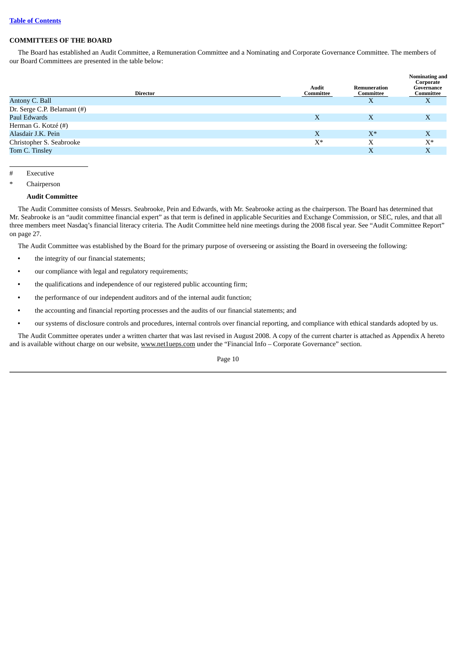# <span id="page-13-0"></span>**COMMITTEES OF THE BOARD**

The Board has established an Audit Committee, a Remuneration Committee and a Nominating and Corporate Governance Committee. The members of our Board Committees are presented in the table below:

| Director                    | Audit<br>Committee | Remuneration<br>Committee | Nominating and<br>Corporate<br>Governance<br>Committee |
|-----------------------------|--------------------|---------------------------|--------------------------------------------------------|
| Antony C. Ball              |                    | $\Lambda$                 | X                                                      |
| Dr. Serge C.P. Belamant (#) |                    |                           |                                                        |
| Paul Edwards                | X                  | X                         | X                                                      |
| Herman G. Kotzé (#)         |                    |                           |                                                        |
| Alasdair J.K. Pein          | X                  | $X^*$                     | X                                                      |
| Christopher S. Seabrooke    | $X^*$              | Х                         | $X^*$                                                  |
| Tom C. Tinsley              |                    | X                         | X                                                      |
|                             |                    |                           |                                                        |

# Executive

Chairperson

# **Audit Committee**

The Audit Committee consists of Messrs. Seabrooke, Pein and Edwards, with Mr. Seabrooke acting as the chairperson. The Board has determined that Mr. Seabrooke is an "audit committee financial expert" as that term is defined in applicable Securities and Exchange Commission, or SEC, rules, and that all three members meet Nasdaq's financial literacy criteria. The Audit Committee held nine meetings during the 2008 fiscal year. See "Audit Committee Report" on page 27.

The Audit Committee was established by the Board for the primary purpose of overseeing or assisting the Board in overseeing the following:

- **•** the integrity of our financial statements;
- **•** our compliance with legal and regulatory requirements;
- **•** the qualifications and independence of our registered public accounting firm;
- **•** the performance of our independent auditors and of the internal audit function;
- **•** the accounting and financial reporting processes and the audits of our financial statements; and
- **•** our systems of disclosure controls and procedures, internal controls over financial reporting, and compliance with ethical standards adopted by us.

The Audit Committee operates under a written charter that was last revised in August 2008. A copy of the current charter is attached as Appendix A hereto and is available without charge on our website, www.netlueps.com under the "Financial Info – Corporate Governance" section.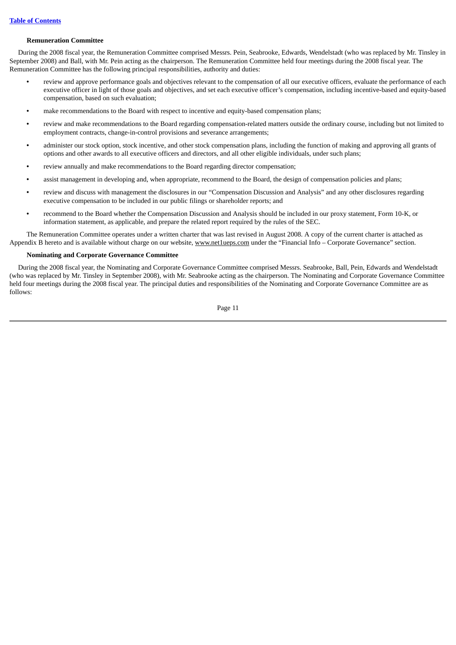### **Remuneration Committee**

During the 2008 fiscal year, the Remuneration Committee comprised Messrs. Pein, Seabrooke, Edwards, Wendelstadt (who was replaced by Mr. Tinsley in September 2008) and Ball, with Mr. Pein acting as the chairperson. The Remuneration Committee held four meetings during the 2008 fiscal year. The Remuneration Committee has the following principal responsibilities, authority and duties:

- **•** review and approve performance goals and objectives relevant to the compensation of all our executive officers, evaluate the performance of each executive officer in light of those goals and objectives, and set each executive officer's compensation, including incentive-based and equity-based compensation, based on such evaluation;
- **•** make recommendations to the Board with respect to incentive and equity-based compensation plans;
- **•** review and make recommendations to the Board regarding compensation-related matters outside the ordinary course, including but not limited to employment contracts, change-in-control provisions and severance arrangements;
- **•** administer our stock option, stock incentive, and other stock compensation plans, including the function of making and approving all grants of options and other awards to all executive officers and directors, and all other eligible individuals, under such plans;
- **•** review annually and make recommendations to the Board regarding director compensation;
- **•** assist management in developing and, when appropriate, recommend to the Board, the design of compensation policies and plans;
- **•** review and discuss with management the disclosures in our "Compensation Discussion and Analysis" and any other disclosures regarding executive compensation to be included in our public filings or shareholder reports; and
- **•** recommend to the Board whether the Compensation Discussion and Analysis should be included in our proxy statement, Form 10-K, or information statement, as applicable, and prepare the related report required by the rules of the SEC.

The Remuneration Committee operates under a written charter that was last revised in August 2008. A copy of the current charter is attached as Appendix B hereto and is available without charge on our website, www.net1ueps.com under the "Financial Info – Corporate Governance" section.

# **Nominating and Corporate Governance Committee**

During the 2008 fiscal year, the Nominating and Corporate Governance Committee comprised Messrs. Seabrooke, Ball, Pein, Edwards and Wendelstadt (who was replaced by Mr. Tinsley in September 2008), with Mr. Seabrooke acting as the chairperson. The Nominating and Corporate Governance Committee held four meetings during the 2008 fiscal year. The principal duties and responsibilities of the Nominating and Corporate Governance Committee are as follows:

Page 11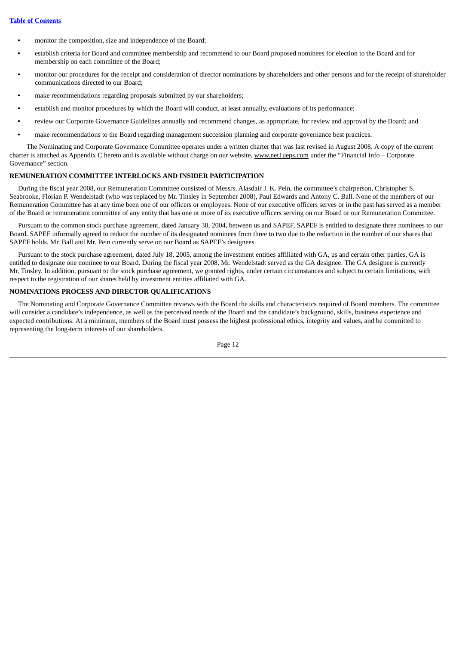- **•** monitor the composition, size and independence of the Board;
- **•** establish criteria for Board and committee membership and recommend to our Board proposed nominees for election to the Board and for membership on each committee of the Board;
- **•** monitor our procedures for the receipt and consideration of director nominations by shareholders and other persons and for the receipt of shareholder communications directed to our Board;
- **•** make recommendations regarding proposals submitted by our shareholders;
- **•** establish and monitor procedures by which the Board will conduct, at least annually, evaluations of its performance;
- **•** review our Corporate Governance Guidelines annually and recommend changes, as appropriate, for review and approval by the Board; and
- **•** make recommendations to the Board regarding management succession planning and corporate governance best practices.

The Nominating and Corporate Governance Committee operates under a written charter that was last revised in August 2008. A copy of the current charter is attached as Appendix C hereto and is available without charge on our website, www.net1ueps.com under the "Financial Info – Corporate Governance" section.

### <span id="page-15-0"></span>**REMUNERATION COMMITTEE INTERLOCKS AND INSIDER PARTICIPATION**

During the fiscal year 2008, our Remuneration Committee consisted of Messrs. Alasdair J. K. Pein, the committee's chairperson, Christopher S. Seabrooke, Florian P. Wendelstadt (who was replaced by Mr. Tinsley in September 2008), Paul Edwards and Antony C. Ball. None of the members of our Remuneration Committee has at any time been one of our officers or employees. None of our executive officers serves or in the past has served as a member of the Board or remuneration committee of any entity that has one or more of its executive officers serving on our Board or our Remuneration Committee.

Pursuant to the common stock purchase agreement, dated January 30, 2004, between us and SAPEF, SAPEF is entitled to designate three nominees to our Board. SAPEF informally agreed to reduce the number of its designated nominees from three to two due to the reduction in the number of our shares that SAPEF holds. Mr. Ball and Mr. Pein currently serve on our Board as SAPEF's designees.

Pursuant to the stock purchase agreement, dated July 18, 2005, among the investment entities affiliated with GA, us and certain other parties, GA is entitled to designate one nominee to our Board. During the fiscal year 2008, Mr. Wendelstadt served as the GA designee. The GA designee is currently Mr. Tinsley. In addition, pursuant to the stock purchase agreement, we granted rights, under certain circumstances and subject to certain limitations, with respect to the registration of our shares held by investment entities affiliated with GA.

# <span id="page-15-1"></span>**NOMINATIONS PROCESS AND DIRECTOR QUALIFICATIONS**

The Nominating and Corporate Governance Committee reviews with the Board the skills and characteristics required of Board members. The committee will consider a candidate's independence, as well as the perceived needs of the Board and the candidate's background, skills, business experience and expected contributions. At a minimum, members of the Board must possess the highest professional ethics, integrity and values, and be committed to representing the long-term interests of our shareholders.

Page 12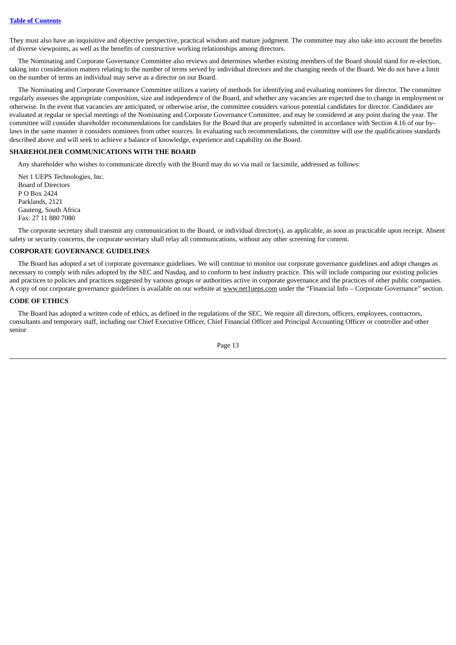They must also have an inquisitive and objective perspective, practical wisdom and mature judgment. The committee may also take into account the benefits of diverse viewpoints, as well as the benefits of constructive working relationships among directors.

The Nominating and Corporate Governance Committee also reviews and determines whether existing members of the Board should stand for re-election, taking into consideration matters relating to the number of terms served by individual directors and the changing needs of the Board. We do not have a limit on the number of terms an individual may serve as a director on our Board.

The Nominating and Corporate Governance Committee utilizes a variety of methods for identifying and evaluating nominees for director. The committee regularly assesses the appropriate composition, size and independence of the Board, and whether any vacancies are expected due to change in employment or otherwise. In the event that vacancies are anticipated, or otherwise arise, the committee considers various potential candidates for director. Candidates are evaluated at regular or special meetings of the Nominating and Corporate Governance Committee, and may be considered at any point during the year. The committee will consider shareholder recommendations for candidates for the Board that are properly submitted in accordance with Section 4.16 of our bylaws in the same manner it considers nominees from other sources. In evaluating such recommendations, the committee will use the qualifications standards described above and will seek to achieve a balance of knowledge, experience and capability on the Board.

# <span id="page-16-0"></span>**SHAREHOLDER COMMUNICATIONS WITH THE BOARD**

Any shareholder who wishes to communicate directly with the Board may do so via mail or facsimile, addressed as follows:

Net 1 UEPS Technologies, Inc. Board of Directors P O Box 2424 Parklands, 2121 Gauteng, South Africa Fax: 27 11 880 7080

The corporate secretary shall transmit any communication to the Board, or individual director(s), as applicable, as soon as practicable upon receipt. Absent safety or security concerns, the corporate secretary shall relay all communications, without any other screening for content.

# <span id="page-16-1"></span>**CORPORATE GOVERNANCE GUIDELINES**

The Board has adopted a set of corporate governance guidelines. We will continue to monitor our corporate governance guidelines and adopt changes as necessary to comply with rules adopted by the SEC and Nasdaq, and to conform to best industry practice. This will include comparing our existing policies and practices to policies and practices suggested by various groups or authorities active in corporate governance and the practices of other public companies. A copy of our corporate governance guidelines is available on our website at www.net1ueps.com under the "Financial Info – Corporate Governance" section.

# <span id="page-16-2"></span>**CODE OF ETHICS**

The Board has adopted a written code of ethics, as defined in the regulations of the SEC. We require all directors, officers, employees, contractors, consultants and temporary staff, including our Chief Executive Officer, Chief Financial Officer and Principal Accounting Officer or controller and other senior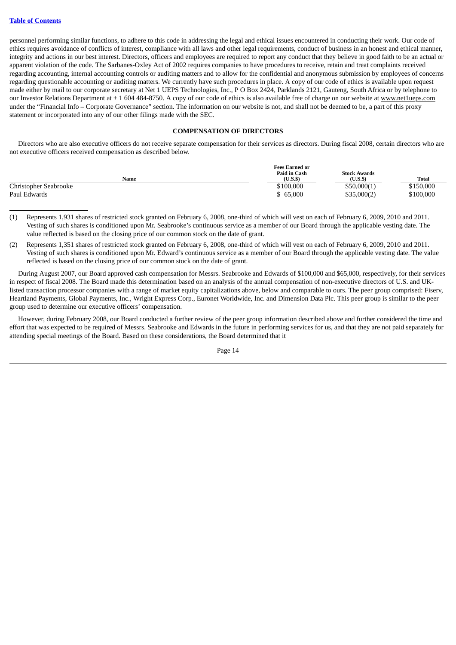personnel performing similar functions, to adhere to this code in addressing the legal and ethical issues encountered in conducting their work. Our code of ethics requires avoidance of conflicts of interest, compliance with all laws and other legal requirements, conduct of business in an honest and ethical manner, integrity and actions in our best interest. Directors, officers and employees are required to report any conduct that they believe in good faith to be an actual or apparent violation of the code. The Sarbanes-Oxley Act of 2002 requires companies to have procedures to receive, retain and treat complaints received regarding accounting, internal accounting controls or auditing matters and to allow for the confidential and anonymous submission by employees of concerns regarding questionable accounting or auditing matters. We currently have such procedures in place. A copy of our code of ethics is available upon request made either by mail to our corporate secretary at Net 1 UEPS Technologies, Inc., P O Box 2424, Parklands 2121, Gauteng, South Africa or by telephone to our Investor Relations Department at + 1 604 484-8750. A copy of our code of ethics is also available free of charge on our website at www.net1ueps.com under the "Financial Info – Corporate Governance" section. The information on our website is not, and shall not be deemed to be, a part of this proxy statement or incorporated into any of our other filings made with the SEC.

# **COMPENSATION OF DIRECTORS**

<span id="page-17-0"></span>Directors who are also executive officers do not receive separate compensation for their services as directors. During fiscal 2008, certain directors who are not executive officers received compensation as described below.

|                       | <b>Fees Earned or</b> |                     |              |  |
|-----------------------|-----------------------|---------------------|--------------|--|
|                       | Paid in Cash          | <b>Stock Awards</b> |              |  |
| Name                  | $(U.S.$ \$            | $(U.S.$ \$          | <b>Total</b> |  |
| Christopher Seabrooke | \$100,000             | \$50,000(1)         | \$150,000    |  |
| Paul Edwards          | \$65,000              | \$35,000(2)         | \$100,000    |  |

- (1) Represents 1,931 shares of restricted stock granted on February 6, 2008, one-third of which will vest on each of February 6, 2009, 2010 and 2011. Vesting of such shares is conditioned upon Mr. Seabrooke's continuous service as a member of our Board through the applicable vesting date. The value reflected is based on the closing price of our common stock on the date of grant.
- (2) Represents 1,351 shares of restricted stock granted on February 6, 2008, one-third of which will vest on each of February 6, 2009, 2010 and 2011. Vesting of such shares is conditioned upon Mr. Edward's continuous service as a member of our Board through the applicable vesting date. The value reflected is based on the closing price of our common stock on the date of grant.

During August 2007, our Board approved cash compensation for Messrs. Seabrooke and Edwards of \$100,000 and \$65,000, respectively, for their services in respect of fiscal 2008. The Board made this determination based on an analysis of the annual compensation of non-executive directors of U.S. and UKlisted transaction processor companies with a range of market equity capitalizations above, below and comparable to ours. The peer group comprised: Fiserv, Heartland Payments, Global Payments, Inc., Wright Express Corp., Euronet Worldwide, Inc. and Dimension Data Plc. This peer group is similar to the peer group used to determine our executive officers' compensation.

However, during February 2008, our Board conducted a further review of the peer group information described above and further considered the time and effort that was expected to be required of Messrs. Seabrooke and Edwards in the future in performing services for us, and that they are not paid separately for attending special meetings of the Board. Based on these considerations, the Board determined that it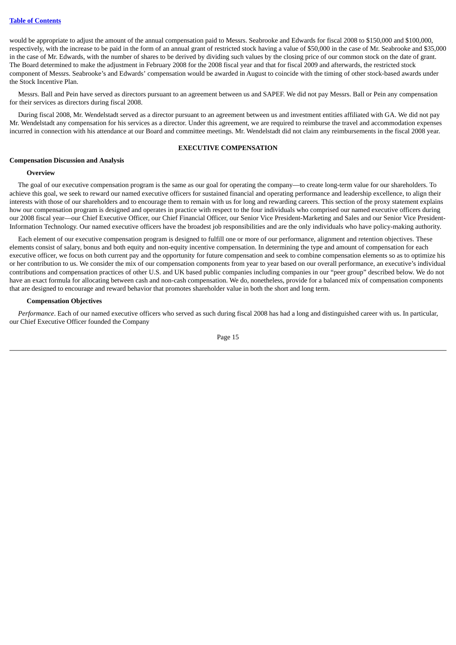would be appropriate to adjust the amount of the annual compensation paid to Messrs. Seabrooke and Edwards for fiscal 2008 to \$150,000 and \$100,000, respectively, with the increase to be paid in the form of an annual grant of restricted stock having a value of \$50,000 in the case of Mr. Seabrooke and \$35,000 in the case of Mr. Edwards, with the number of shares to be derived by dividing such values by the closing price of our common stock on the date of grant. The Board determined to make the adjustment in February 2008 for the 2008 fiscal year and that for fiscal 2009 and afterwards, the restricted stock component of Messrs. Seabrooke's and Edwards' compensation would be awarded in August to coincide with the timing of other stock-based awards under the Stock Incentive Plan.

Messrs. Ball and Pein have served as directors pursuant to an agreement between us and SAPEF. We did not pay Messrs. Ball or Pein any compensation for their services as directors during fiscal 2008.

During fiscal 2008, Mr. Wendelstadt served as a director pursuant to an agreement between us and investment entities affiliated with GA. We did not pay Mr. Wendelstadt any compensation for his services as a director. Under this agreement, we are required to reimburse the travel and accommodation expenses incurred in connection with his attendance at our Board and committee meetings. Mr. Wendelstadt did not claim any reimbursements in the fiscal 2008 year.

### **EXECUTIVE COMPENSATION**

### <span id="page-18-1"></span><span id="page-18-0"></span>**Compensation Discussion and Analysis**

### **Overview**

The goal of our executive compensation program is the same as our goal for operating the company—to create long-term value for our shareholders. To achieve this goal, we seek to reward our named executive officers for sustained financial and operating performance and leadership excellence, to align their interests with those of our shareholders and to encourage them to remain with us for long and rewarding careers. This section of the proxy statement explains how our compensation program is designed and operates in practice with respect to the four individuals who comprised our named executive officers during our 2008 fiscal year—our Chief Executive Officer, our Chief Financial Officer, our Senior Vice President-Marketing and Sales and our Senior Vice President-Information Technology. Our named executive officers have the broadest job responsibilities and are the only individuals who have policy-making authority.

Each element of our executive compensation program is designed to fulfill one or more of our performance, alignment and retention objectives. These elements consist of salary, bonus and both equity and non-equity incentive compensation. In determining the type and amount of compensation for each executive officer, we focus on both current pay and the opportunity for future compensation and seek to combine compensation elements so as to optimize his or her contribution to us. We consider the mix of our compensation components from year to year based on our overall performance, an executive's individual contributions and compensation practices of other U.S. and UK based public companies including companies in our "peer group" described below. We do not have an exact formula for allocating between cash and non-cash compensation. We do, nonetheless, provide for a balanced mix of compensation components that are designed to encourage and reward behavior that promotes shareholder value in both the short and long term.

### **Compensation Objectives**

*Performance*. Each of our named executive officers who served as such during fiscal 2008 has had a long and distinguished career with us. In particular, our Chief Executive Officer founded the Company

Page 15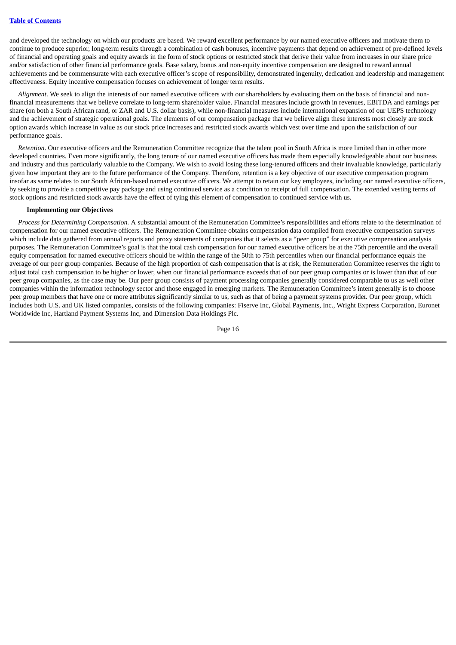and developed the technology on which our products are based. We reward excellent performance by our named executive officers and motivate them to continue to produce superior, long-term results through a combination of cash bonuses, incentive payments that depend on achievement of pre-defined levels of financial and operating goals and equity awards in the form of stock options or restricted stock that derive their value from increases in our share price and/or satisfaction of other financial performance goals. Base salary, bonus and non-equity incentive compensation are designed to reward annual achievements and be commensurate with each executive officer's scope of responsibility, demonstrated ingenuity, dedication and leadership and management effectiveness. Equity incentive compensation focuses on achievement of longer term results.

*Alignment*. We seek to align the interests of our named executive officers with our shareholders by evaluating them on the basis of financial and nonfinancial measurements that we believe correlate to long-term shareholder value. Financial measures include growth in revenues, EBITDA and earnings per share (on both a South African rand, or ZAR and U.S. dollar basis), while non-financial measures include international expansion of our UEPS technology and the achievement of strategic operational goals. The elements of our compensation package that we believe align these interests most closely are stock option awards which increase in value as our stock price increases and restricted stock awards which vest over time and upon the satisfaction of our performance goals.

*Retention*. Our executive officers and the Remuneration Committee recognize that the talent pool in South Africa is more limited than in other more developed countries. Even more significantly, the long tenure of our named executive officers has made them especially knowledgeable about our business and industry and thus particularly valuable to the Company. We wish to avoid losing these long-tenured officers and their invaluable knowledge, particularly given how important they are to the future performance of the Company. Therefore, retention is a key objective of our executive compensation program insofar as same relates to our South African-based named executive officers. We attempt to retain our key employees, including our named executive officers, by seeking to provide a competitive pay package and using continued service as a condition to receipt of full compensation. The extended vesting terms of stock options and restricted stock awards have the effect of tying this element of compensation to continued service with us.

### **Implementing our Objectives**

*Process for Determining Compensation.* A substantial amount of the Remuneration Committee's responsibilities and efforts relate to the determination of compensation for our named executive officers. The Remuneration Committee obtains compensation data compiled from executive compensation surveys which include data gathered from annual reports and proxy statements of companies that it selects as a "peer group" for executive compensation analysis purposes. The Remuneration Committee's goal is that the total cash compensation for our named executive officers be at the 75th percentile and the overall equity compensation for named executive officers should be within the range of the 50th to 75th percentiles when our financial performance equals the average of our peer group companies. Because of the high proportion of cash compensation that is at risk, the Remuneration Committee reserves the right to adjust total cash compensation to be higher or lower, when our financial performance exceeds that of our peer group companies or is lower than that of our peer group companies, as the case may be. Our peer group consists of payment processing companies generally considered comparable to us as well other companies within the information technology sector and those engaged in emerging markets. The Remuneration Committee's intent generally is to choose peer group members that have one or more attributes significantly similar to us, such as that of being a payment systems provider. Our peer group, which includes both U.S. and UK listed companies, consists of the following companies: Fiserve Inc, Global Payments, Inc., Wright Express Corporation, Euronet Worldwide Inc, Hartland Payment Systems Inc, and Dimension Data Holdings Plc.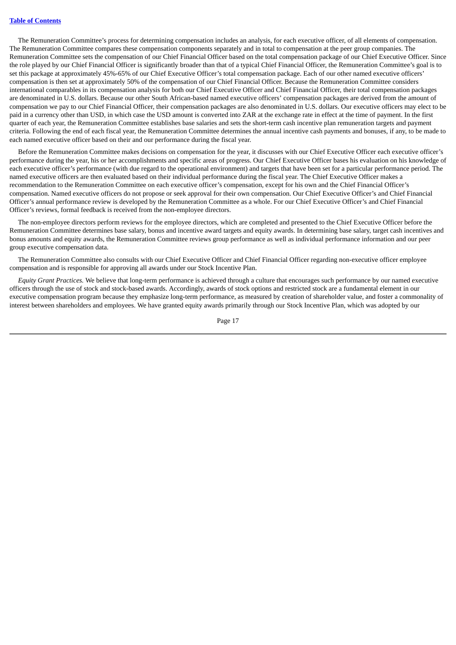The Remuneration Committee's process for determining compensation includes an analysis, for each executive officer, of all elements of compensation. The Remuneration Committee compares these compensation components separately and in total to compensation at the peer group companies. The Remuneration Committee sets the compensation of our Chief Financial Officer based on the total compensation package of our Chief Executive Officer. Since the role played by our Chief Financial Officer is significantly broader than that of a typical Chief Financial Officer, the Remuneration Committee's goal is to set this package at approximately 45%-65% of our Chief Executive Officer's total compensation package. Each of our other named executive officers' compensation is then set at approximately 50% of the compensation of our Chief Financial Officer. Because the Remuneration Committee considers international comparables in its compensation analysis for both our Chief Executive Officer and Chief Financial Officer, their total compensation packages are denominated in U.S. dollars. Because our other South African-based named executive officers' compensation packages are derived from the amount of compensation we pay to our Chief Financial Officer, their compensation packages are also denominated in U.S. dollars. Our executive officers may elect to be paid in a currency other than USD, in which case the USD amount is converted into ZAR at the exchange rate in effect at the time of payment. In the first quarter of each year, the Remuneration Committee establishes base salaries and sets the short-term cash incentive plan remuneration targets and payment criteria. Following the end of each fiscal year, the Remuneration Committee determines the annual incentive cash payments and bonuses, if any, to be made to each named executive officer based on their and our performance during the fiscal year.

Before the Remuneration Committee makes decisions on compensation for the year, it discusses with our Chief Executive Officer each executive officer's performance during the year, his or her accomplishments and specific areas of progress. Our Chief Executive Officer bases his evaluation on his knowledge of each executive officer's performance (with due regard to the operational environment) and targets that have been set for a particular performance period. The named executive officers are then evaluated based on their individual performance during the fiscal year. The Chief Executive Officer makes a recommendation to the Remuneration Committee on each executive officer's compensation, except for his own and the Chief Financial Officer's compensation. Named executive officers do not propose or seek approval for their own compensation. Our Chief Executive Officer's and Chief Financial Officer's annual performance review is developed by the Remuneration Committee as a whole. For our Chief Executive Officer's and Chief Financial Officer's reviews, formal feedback is received from the non-employee directors.

The non-employee directors perform reviews for the employee directors, which are completed and presented to the Chief Executive Officer before the Remuneration Committee determines base salary, bonus and incentive award targets and equity awards. In determining base salary, target cash incentives and bonus amounts and equity awards, the Remuneration Committee reviews group performance as well as individual performance information and our peer group executive compensation data.

The Remuneration Committee also consults with our Chief Executive Officer and Chief Financial Officer regarding non-executive officer employee compensation and is responsible for approving all awards under our Stock Incentive Plan.

*Equity Grant Practices.* We believe that long-term performance is achieved through a culture that encourages such performance by our named executive officers through the use of stock and stock-based awards. Accordingly, awards of stock options and restricted stock are a fundamental element in our executive compensation program because they emphasize long-term performance, as measured by creation of shareholder value, and foster a commonality of interest between shareholders and employees. We have granted equity awards primarily through our Stock Incentive Plan, which was adopted by our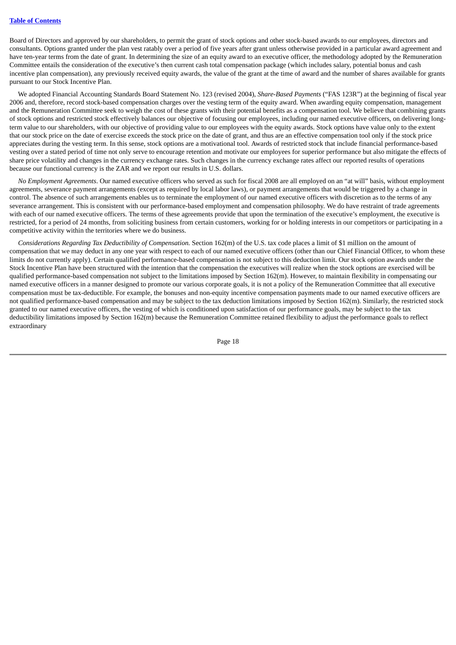Board of Directors and approved by our shareholders, to permit the grant of stock options and other stock-based awards to our employees, directors and consultants. Options granted under the plan vest ratably over a period of five years after grant unless otherwise provided in a particular award agreement and have ten-year terms from the date of grant. In determining the size of an equity award to an executive officer, the methodology adopted by the Remuneration Committee entails the consideration of the executive's then current cash total compensation package (which includes salary, potential bonus and cash incentive plan compensation), any previously received equity awards, the value of the grant at the time of award and the number of shares available for grants pursuant to our Stock Incentive Plan.

We adopted Financial Accounting Standards Board Statement No. 123 (revised 2004), *Share-Based Payments* ("FAS 123R") at the beginning of fiscal year 2006 and, therefore, record stock-based compensation charges over the vesting term of the equity award. When awarding equity compensation, management and the Remuneration Committee seek to weigh the cost of these grants with their potential benefits as a compensation tool. We believe that combining grants of stock options and restricted stock effectively balances our objective of focusing our employees, including our named executive officers, on delivering longterm value to our shareholders, with our objective of providing value to our employees with the equity awards. Stock options have value only to the extent that our stock price on the date of exercise exceeds the stock price on the date of grant, and thus are an effective compensation tool only if the stock price appreciates during the vesting term. In this sense, stock options are a motivational tool. Awards of restricted stock that include financial performance-based vesting over a stated period of time not only serve to encourage retention and motivate our employees for superior performance but also mitigate the effects of share price volatility and changes in the currency exchange rates. Such changes in the currency exchange rates affect our reported results of operations because our functional currency is the ZAR and we report our results in U.S. dollars.

*No Employment Agreements*. Our named executive officers who served as such for fiscal 2008 are all employed on an "at will" basis, without employment agreements, severance payment arrangements (except as required by local labor laws), or payment arrangements that would be triggered by a change in control. The absence of such arrangements enables us to terminate the employment of our named executive officers with discretion as to the terms of any severance arrangement. This is consistent with our performance-based employment and compensation philosophy. We do have restraint of trade agreements with each of our named executive officers. The terms of these agreements provide that upon the termination of the executive's employment, the executive is restricted, for a period of 24 months, from soliciting business from certain customers, working for or holding interests in our competitors or participating in a competitive activity within the territories where we do business.

*Considerations Regarding Tax Deductibility of Compensation.* Section 162(m) of the U.S. tax code places a limit of \$1 million on the amount of compensation that we may deduct in any one year with respect to each of our named executive officers (other than our Chief Financial Officer, to whom these limits do not currently apply). Certain qualified performance-based compensation is not subject to this deduction limit. Our stock option awards under the Stock Incentive Plan have been structured with the intention that the compensation the executives will realize when the stock options are exercised will be qualified performance-based compensation not subject to the limitations imposed by Section 162(m). However, to maintain flexibility in compensating our named executive officers in a manner designed to promote our various corporate goals, it is not a policy of the Remuneration Committee that all executive compensation must be tax-deductible. For example, the bonuses and non-equity incentive compensation payments made to our named executive officers are not qualified performance-based compensation and may be subject to the tax deduction limitations imposed by Section 162(m). Similarly, the restricted stock granted to our named executive officers, the vesting of which is conditioned upon satisfaction of our performance goals, may be subject to the tax deductibility limitations imposed by Section 162(m) because the Remuneration Committee retained flexibility to adjust the performance goals to reflect extraordinary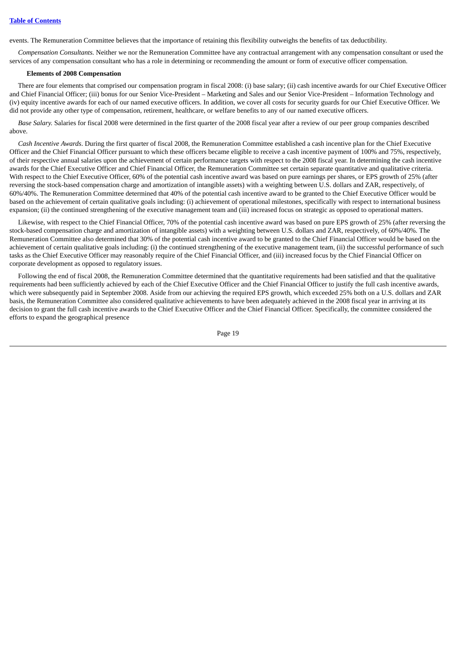events. The Remuneration Committee believes that the importance of retaining this flexibility outweighs the benefits of tax deductibility.

*Compensation Consultants.* Neither we nor the Remuneration Committee have any contractual arrangement with any compensation consultant or used the services of any compensation consultant who has a role in determining or recommending the amount or form of executive officer compensation.

### **Elements of 2008 Compensation**

There are four elements that comprised our compensation program in fiscal 2008: (i) base salary; (ii) cash incentive awards for our Chief Executive Officer and Chief Financial Officer; (iii) bonus for our Senior Vice-President – Marketing and Sales and our Senior Vice-President – Information Technology and (iv) equity incentive awards for each of our named executive officers. In addition, we cover all costs for security guards for our Chief Executive Officer. We did not provide any other type of compensation, retirement, healthcare, or welfare benefits to any of our named executive officers.

*Base Salary.* Salaries for fiscal 2008 were determined in the first quarter of the 2008 fiscal year after a review of our peer group companies described above.

*Cash Incentive Awards*. During the first quarter of fiscal 2008, the Remuneration Committee established a cash incentive plan for the Chief Executive Officer and the Chief Financial Officer pursuant to which these officers became eligible to receive a cash incentive payment of 100% and 75%, respectively, of their respective annual salaries upon the achievement of certain performance targets with respect to the 2008 fiscal year. In determining the cash incentive awards for the Chief Executive Officer and Chief Financial Officer, the Remuneration Committee set certain separate quantitative and qualitative criteria. With respect to the Chief Executive Officer, 60% of the potential cash incentive award was based on pure earnings per shares, or EPS growth of 25% (after reversing the stock-based compensation charge and amortization of intangible assets) with a weighting between U.S. dollars and ZAR, respectively, of 60%/40%. The Remuneration Committee determined that 40% of the potential cash incentive award to be granted to the Chief Executive Officer would be based on the achievement of certain qualitative goals including: (i) achievement of operational milestones, specifically with respect to international business expansion; (ii) the continued strengthening of the executive management team and (iii) increased focus on strategic as opposed to operational matters.

Likewise, with respect to the Chief Financial Officer, 70% of the potential cash incentive award was based on pure EPS growth of 25% (after reversing the stock-based compensation charge and amortization of intangible assets) with a weighting between U.S. dollars and ZAR, respectively, of 60%/40%. The Remuneration Committee also determined that 30% of the potential cash incentive award to be granted to the Chief Financial Officer would be based on the achievement of certain qualitative goals including: (i) the continued strengthening of the executive management team, (ii) the successful performance of such tasks as the Chief Executive Officer may reasonably require of the Chief Financial Officer, and (iii) increased focus by the Chief Financial Officer on corporate development as opposed to regulatory issues.

Following the end of fiscal 2008, the Remuneration Committee determined that the quantitative requirements had been satisfied and that the qualitative requirements had been sufficiently achieved by each of the Chief Executive Officer and the Chief Financial Officer to justify the full cash incentive awards, which were subsequently paid in September 2008. Aside from our achieving the required EPS growth, which exceeded 25% both on a U.S. dollars and ZAR basis, the Remuneration Committee also considered qualitative achievements to have been adequately achieved in the 2008 fiscal year in arriving at its decision to grant the full cash incentive awards to the Chief Executive Officer and the Chief Financial Officer. Specifically, the committee considered the efforts to expand the geographical presence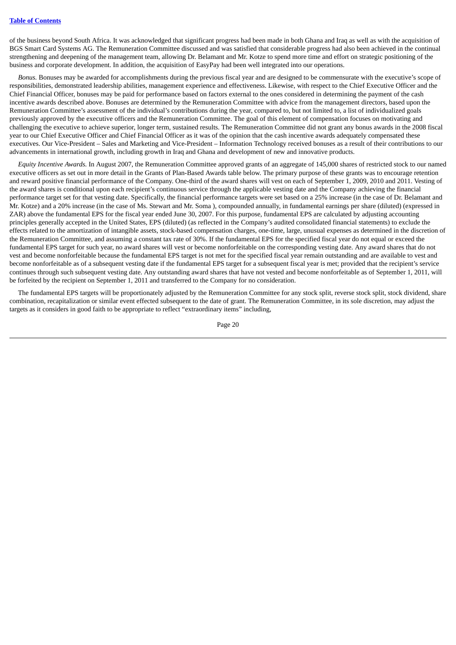of the business beyond South Africa. It was acknowledged that significant progress had been made in both Ghana and Iraq as well as with the acquisition of BGS Smart Card Systems AG. The Remuneration Committee discussed and was satisfied that considerable progress had also been achieved in the continual strengthening and deepening of the management team, allowing Dr. Belamant and Mr. Kotze to spend more time and effort on strategic positioning of the business and corporate development. In addition, the acquisition of EasyPay had been well integrated into our operations.

*Bonus.* Bonuses may be awarded for accomplishments during the previous fiscal year and are designed to be commensurate with the executive's scope of responsibilities, demonstrated leadership abilities, management experience and effectiveness. Likewise, with respect to the Chief Executive Officer and the Chief Financial Officer, bonuses may be paid for performance based on factors external to the ones considered in determining the payment of the cash incentive awards described above. Bonuses are determined by the Remuneration Committee with advice from the management directors, based upon the Remuneration Committee's assessment of the individual's contributions during the year, compared to, but not limited to, a list of individualized goals previously approved by the executive officers and the Remuneration Committee. The goal of this element of compensation focuses on motivating and challenging the executive to achieve superior, longer term, sustained results. The Remuneration Committee did not grant any bonus awards in the 2008 fiscal year to our Chief Executive Officer and Chief Financial Officer as it was of the opinion that the cash incentive awards adequately compensated these executives. Our Vice-President – Sales and Marketing and Vice-President – Information Technology received bonuses as a result of their contributions to our advancements in international growth, including growth in Iraq and Ghana and development of new and innovative products.

*Equity Incentive Awards.* In August 2007, the Remuneration Committee approved grants of an aggregate of 145,000 shares of restricted stock to our named executive officers as set out in more detail in the Grants of Plan-Based Awards table below. The primary purpose of these grants was to encourage retention and reward positive financial performance of the Company. One-third of the award shares will vest on each of September 1, 2009, 2010 and 2011. Vesting of the award shares is conditional upon each recipient's continuous service through the applicable vesting date and the Company achieving the financial performance target set for that vesting date. Specifically, the financial performance targets were set based on a 25% increase (in the case of Dr. Belamant and Mr. Kotze) and a 20% increase (in the case of Ms. Stewart and Mr. Soma ), compounded annually, in fundamental earnings per share (diluted) (expressed in ZAR) above the fundamental EPS for the fiscal year ended June 30, 2007. For this purpose, fundamental EPS are calculated by adjusting accounting principles generally accepted in the United States, EPS (diluted) (as reflected in the Company's audited consolidated financial statements) to exclude the effects related to the amortization of intangible assets, stock-based compensation charges, one-time, large, unusual expenses as determined in the discretion of the Remuneration Committee, and assuming a constant tax rate of 30%. If the fundamental EPS for the specified fiscal year do not equal or exceed the fundamental EPS target for such year, no award shares will vest or become nonforfeitable on the corresponding vesting date. Any award shares that do not vest and become nonforfeitable because the fundamental EPS target is not met for the specified fiscal year remain outstanding and are available to vest and become nonforfeitable as of a subsequent vesting date if the fundamental EPS target for a subsequent fiscal year is met; provided that the recipient's service continues through such subsequent vesting date. Any outstanding award shares that have not vested and become nonforfeitable as of September 1, 2011, will be forfeited by the recipient on September 1, 2011 and transferred to the Company for no consideration.

The fundamental EPS targets will be proportionately adjusted by the Remuneration Committee for any stock split, reverse stock split, stock dividend, share combination, recapitalization or similar event effected subsequent to the date of grant. The Remuneration Committee, in its sole discretion, may adjust the targets as it considers in good faith to be appropriate to reflect "extraordinary items" including,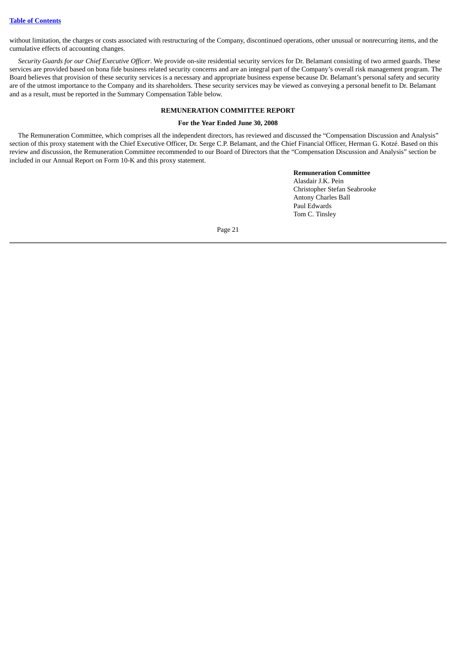without limitation, the charges or costs associated with restructuring of the Company, discontinued operations, other unusual or nonrecurring items, and the cumulative effects of accounting changes.

*Security Guards for our Chief Executive Officer*. We provide on-site residential security services for Dr. Belamant consisting of two armed guards. These services are provided based on bona fide business related security concerns and are an integral part of the Company's overall risk management program. The Board believes that provision of these security services is a necessary and appropriate business expense because Dr. Belamant's personal safety and security are of the utmost importance to the Company and its shareholders. These security services may be viewed as conveying a personal benefit to Dr. Belamant and as a result, must be reported in the Summary Compensation Table below.

# **REMUNERATION COMMITTEE REPORT**

# **For the Year Ended June 30, 2008**

<span id="page-24-0"></span>The Remuneration Committee, which comprises all the independent directors, has reviewed and discussed the "Compensation Discussion and Analysis" section of this proxy statement with the Chief Executive Officer, Dr. Serge C.P. Belamant, and the Chief Financial Officer, Herman G. Kotzé. Based on this review and discussion, the Remuneration Committee recommended to our Board of Directors that the "Compensation Discussion and Analysis" section be included in our Annual Report on Form 10-K and this proxy statement.

> **Remuneration Committee** Alasdair J.K. Pein Christopher Stefan Seabrooke Antony Charles Ball Paul Edwards Tom C. Tinsley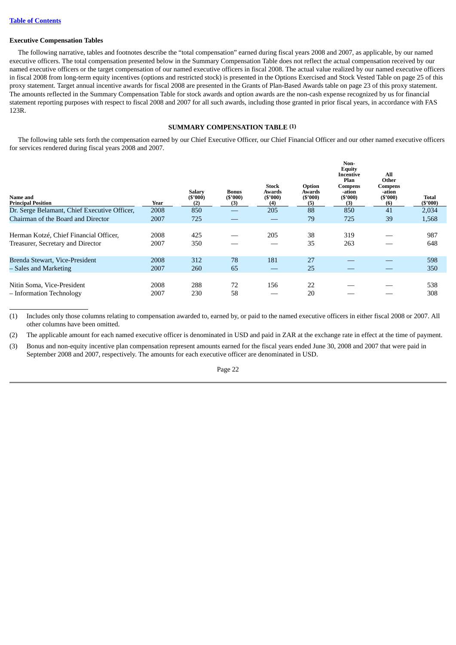### **Executive Compensation Tables**

The following narrative, tables and footnotes describe the "total compensation" earned during fiscal years 2008 and 2007, as applicable, by our named executive officers. The total compensation presented below in the Summary Compensation Table does not reflect the actual compensation received by our named executive officers or the target compensation of our named executive officers in fiscal 2008. The actual value realized by our named executive officers in fiscal 2008 from long-term equity incentives (options and restricted stock) is presented in the Options Exercised and Stock Vested Table on page 25 of this proxy statement. Target annual incentive awards for fiscal 2008 are presented in the Grants of Plan-Based Awards table on page 23 of this proxy statement. The amounts reflected in the Summary Compensation Table for stock awards and option awards are the non-cash expense recognized by us for financial statement reporting purposes with respect to fiscal 2008 and 2007 for all such awards, including those granted in prior fiscal years, in accordance with FAS 123R.

### **SUMMARY COMPENSATION TABLE (1)**

<span id="page-25-0"></span>The following table sets forth the compensation earned by our Chief Executive Officer, our Chief Financial Officer and our other named executive officers for services rendered during fiscal years 2008 and 2007.

| Name and<br><b>Principal Position</b>                                       | Year         | <b>Salary</b><br>(S'000)<br>(2) | <b>Bonus</b><br>(S'000)<br>(3) | <b>Stock</b><br>Awards<br>(S'000)<br>(4) | Option<br>Awards<br>(S'000)<br>(5) | Non-<br><b>Equity</b><br>Incentive<br>Plan<br>Compens<br>-ation<br>(S'000)<br>(3) | All<br>Other<br><b>Compens</b><br>-ation<br>(S'000)<br>(6) | Total<br>$(\$'000)$ |
|-----------------------------------------------------------------------------|--------------|---------------------------------|--------------------------------|------------------------------------------|------------------------------------|-----------------------------------------------------------------------------------|------------------------------------------------------------|---------------------|
| Dr. Serge Belamant, Chief Executive Officer,                                | 2008         | 850                             |                                | 205                                      | 88                                 | 850                                                                               | 41                                                         | 2,034               |
| Chairman of the Board and Director                                          | 2007         | 725                             |                                |                                          | 79                                 | 725                                                                               | 39                                                         | 1,568               |
| Herman Kotzé, Chief Financial Officer,<br>Treasurer, Secretary and Director | 2008<br>2007 | 425<br>350                      |                                | 205                                      | 38<br>35                           | 319<br>263                                                                        |                                                            | 987<br>648          |
| Brenda Stewart, Vice-President                                              | 2008         | 312                             | 78                             | 181                                      | 27                                 |                                                                                   |                                                            | 598                 |
| – Sales and Marketing                                                       | 2007         | 260                             | 65                             |                                          | 25                                 |                                                                                   |                                                            | 350                 |
| Nitin Soma, Vice-President<br>- Information Technology                      | 2008<br>2007 | 288<br>230                      | 72<br>58                       | 156                                      | 22<br>20                           |                                                                                   |                                                            | 538<br>308          |

(1) Includes only those columns relating to compensation awarded to, earned by, or paid to the named executive officers in either fiscal 2008 or 2007. All other columns have been omitted.

(2) The applicable amount for each named executive officer is denominated in USD and paid in ZAR at the exchange rate in effect at the time of payment.

(3) Bonus and non-equity incentive plan compensation represent amounts earned for the fiscal years ended June 30, 2008 and 2007 that were paid in September 2008 and 2007, respectively. The amounts for each executive officer are denominated in USD.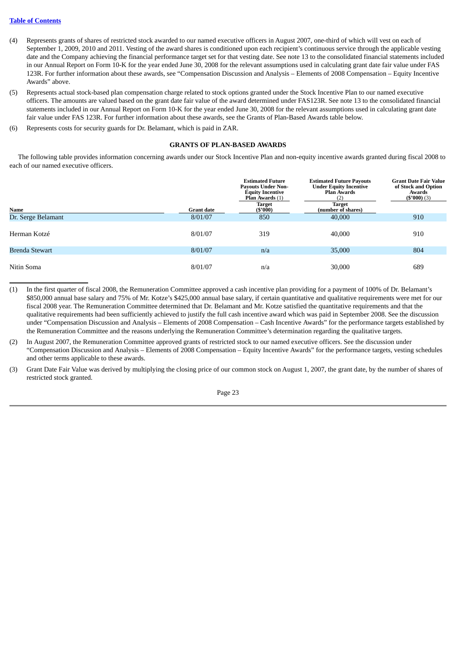# **Table of [Contents](#page-4-0)**

- (4) Represents grants of shares of restricted stock awarded to our named executive officers in August 2007, one-third of which will vest on each of September 1, 2009, 2010 and 2011. Vesting of the award shares is conditioned upon each recipient's continuous service through the applicable vesting date and the Company achieving the financial performance target set for that vesting date. See note 13 to the consolidated financial statements included in our Annual Report on Form 10-K for the year ended June 30, 2008 for the relevant assumptions used in calculating grant date fair value under FAS 123R. For further information about these awards, see "Compensation Discussion and Analysis – Elements of 2008 Compensation – Equity Incentive Awards" above.
- (5) Represents actual stock-based plan compensation charge related to stock options granted under the Stock Incentive Plan to our named executive officers. The amounts are valued based on the grant date fair value of the award determined under FAS123R. See note 13 to the consolidated financial statements included in our Annual Report on Form 10-K for the year ended June 30, 2008 for the relevant assumptions used in calculating grant date fair value under FAS 123R. For further information about these awards, see the Grants of Plan-Based Awards table below.
- <span id="page-26-0"></span>(6) Represents costs for security guards for Dr. Belamant, which is paid in ZAR.

### **GRANTS OF PLAN-BASED AWARDS**

The following table provides information concerning awards under our Stock Incentive Plan and non-equity incentive awards granted during fiscal 2008 to each of our named executive officers.

|                    |                   | <b>Estimated Future</b><br><b>Payouts Under Non-</b><br><b>Equity Incentive</b><br>Plan Awards (1) | <b>Estimated Future Payouts</b><br><b>Under Equity Incentive</b><br><b>Plan Awards</b><br>(2) | <b>Grant Date Fair Value</b><br>of Stock and Option<br>Awards<br>$(*'000)$ (3) |
|--------------------|-------------------|----------------------------------------------------------------------------------------------------|-----------------------------------------------------------------------------------------------|--------------------------------------------------------------------------------|
| Name               | <b>Grant date</b> | <b>Target</b><br>$(\$'000)$                                                                        | <b>Target</b><br>(number of shares)                                                           |                                                                                |
| Dr. Serge Belamant | 8/01/07           | 850                                                                                                | 40,000                                                                                        | 910                                                                            |
| Herman Kotzé       | 8/01/07           | 319                                                                                                | 40,000                                                                                        | 910                                                                            |
| Brenda Stewart     | 8/01/07           | n/a                                                                                                | 35,000                                                                                        | 804                                                                            |
| Nitin Soma         | 8/01/07           | n/a                                                                                                | 30,000                                                                                        | 689                                                                            |

- (1) In the first quarter of fiscal 2008, the Remuneration Committee approved a cash incentive plan providing for a payment of 100% of Dr. Belamant's \$850,000 annual base salary and 75% of Mr. Kotze's \$425,000 annual base salary, if certain quantitative and qualitative requirements were met for our fiscal 2008 year. The Remuneration Committee determined that Dr. Belamant and Mr. Kotze satisfied the quantitative requirements and that the qualitative requirements had been sufficiently achieved to justify the full cash incentive award which was paid in September 2008. See the discussion under "Compensation Discussion and Analysis – Elements of 2008 Compensation – Cash Incentive Awards" for the performance targets established by the Remuneration Committee and the reasons underlying the Remuneration Committee's determination regarding the qualitative targets.
- (2) In August 2007, the Remuneration Committee approved grants of restricted stock to our named executive officers. See the discussion under "Compensation Discussion and Analysis – Elements of 2008 Compensation – Equity Incentive Awards" for the performance targets, vesting schedules and other terms applicable to these awards.
- (3) Grant Date Fair Value was derived by multiplying the closing price of our common stock on August 1, 2007, the grant date, by the number of shares of restricted stock granted.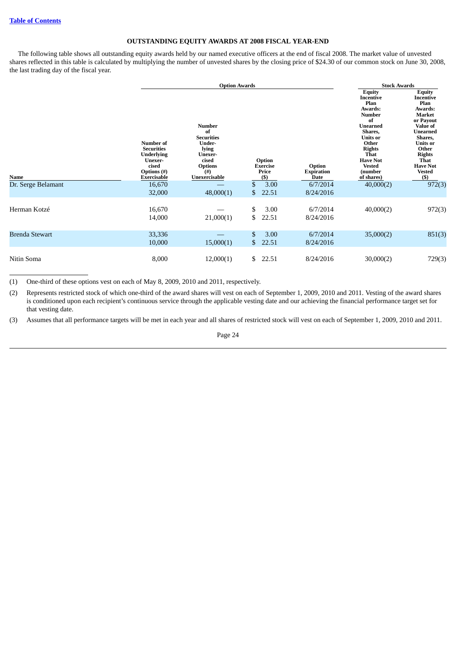# **OUTSTANDING EQUITY AWARDS AT 2008 FISCAL YEAR-END**

<span id="page-27-0"></span>The following table shows all outstanding equity awards held by our named executive officers at the end of fiscal 2008. The market value of unvested shares reflected in this table is calculated by multiplying the number of unvested shares by the closing price of \$24.30 of our common stock on June 30, 2008, the last trading day of the fiscal year.

|                       | <b>Number of</b><br><b>Securities</b><br><b>Underlying</b><br>Unexer-<br>cised | <b>Option Awards</b><br><b>Number</b><br>of<br><b>Securities</b><br>Under-<br>lying<br>Unexer-<br>cised<br><b>Options</b> | Option<br><b>Exercise</b> | Option                    | <b>Stock Awards</b><br><b>Equity</b><br>Incentive<br>Plan<br>Awards:<br><b>Number</b><br>of<br><b>Unearned</b><br>Shares.<br><b>Units or</b><br>Other<br><b>Rights</b><br>That<br><b>Have Not</b><br><b>Vested</b> | Equity<br><b>Incentive</b><br>Plan<br>Awards:<br>Market<br>or Payout<br><b>Value of</b><br><b>Unearned</b><br>Shares,<br><b>Units or</b><br>Other<br><b>Rights</b><br><b>That</b><br><b>Have Not</b> |
|-----------------------|--------------------------------------------------------------------------------|---------------------------------------------------------------------------------------------------------------------------|---------------------------|---------------------------|--------------------------------------------------------------------------------------------------------------------------------------------------------------------------------------------------------------------|------------------------------------------------------------------------------------------------------------------------------------------------------------------------------------------------------|
| Name                  | <b>Options</b> (#)<br>Exercisable                                              | $($ # $)$<br>Unexercisable                                                                                                | Price<br>$($ \$)          | <b>Expiration</b><br>Date | (number<br>of shares)                                                                                                                                                                                              | <b>Vested</b><br>$($ \$                                                                                                                                                                              |
| Dr. Serge Belamant    | 16,670                                                                         |                                                                                                                           | \$<br>3.00                | 6/7/2014                  | 40,000(2)                                                                                                                                                                                                          | 972(3)                                                                                                                                                                                               |
|                       | 32,000                                                                         | 48,000(1)                                                                                                                 | \$<br>22.51               | 8/24/2016                 |                                                                                                                                                                                                                    |                                                                                                                                                                                                      |
| Herman Kotzé          | 16,670<br>14,000                                                               | 21,000(1)                                                                                                                 | \$<br>3.00<br>\$<br>22.51 | 6/7/2014<br>8/24/2016     | 40,000(2)                                                                                                                                                                                                          | 972(3)                                                                                                                                                                                               |
| <b>Brenda Stewart</b> | 33,336<br>10,000                                                               | 15,000(1)                                                                                                                 | \$<br>3.00<br>22.51<br>\$ | 6/7/2014<br>8/24/2016     | 35,000(2)                                                                                                                                                                                                          | 851(3)                                                                                                                                                                                               |
| Nitin Soma            | 8,000                                                                          | 12,000(1)                                                                                                                 | \$<br>22.51               | 8/24/2016                 | 30,000(2)                                                                                                                                                                                                          | 729(3)                                                                                                                                                                                               |

(1) One-third of these options vest on each of May 8, 2009, 2010 and 2011, respectively.

(2) Represents restricted stock of which one-third of the award shares will vest on each of September 1, 2009, 2010 and 2011. Vesting of the award shares is conditioned upon each recipient's continuous service through the applicable vesting date and our achieving the financial performance target set for that vesting date.

(3) Assumes that all performance targets will be met in each year and all shares of restricted stock will vest on each of September 1, 2009, 2010 and 2011.

Page 24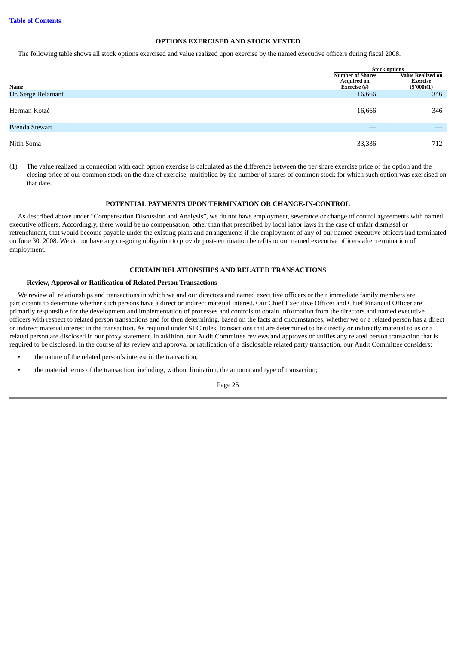# **OPTIONS EXERCISED AND STOCK VESTED**

<span id="page-28-0"></span>The following table shows all stock options exercised and value realized upon exercise by the named executive officers during fiscal 2008.

|                       |                                                               | <b>Stock options</b>                                         |  |  |
|-----------------------|---------------------------------------------------------------|--------------------------------------------------------------|--|--|
| Name                  | <b>Number of Shares</b><br><b>Acquired on</b><br>Exercise (#) | <b>Value Realized on</b><br><b>Exercise</b><br>$(\$'000)(1)$ |  |  |
| Dr. Serge Belamant    | 16,666                                                        | 346                                                          |  |  |
| Herman Kotzé          | 16,666                                                        | 346                                                          |  |  |
| <b>Brenda Stewart</b> |                                                               |                                                              |  |  |
| Nitin Soma            | 33,336                                                        | 712                                                          |  |  |

<span id="page-28-1"></span>(1) The value realized in connection with each option exercise is calculated as the difference between the per share exercise price of the option and the closing price of our common stock on the date of exercise, multiplied by the number of shares of common stock for which such option was exercised on that date.

### **POTENTIAL PAYMENTS UPON TERMINATION OR CHANGE-IN-CONTROL**

As described above under "Compensation Discussion and Analysis", we do not have employment, severance or change of control agreements with named executive officers. Accordingly, there would be no compensation, other than that prescribed by local labor laws in the case of unfair dismissal or retrenchment, that would become payable under the existing plans and arrangements if the employment of any of our named executive officers had terminated on June 30, 2008. We do not have any on-going obligation to provide post-termination benefits to our named executive officers after termination of employment.

### **CERTAIN RELATIONSHIPS AND RELATED TRANSACTIONS**

### <span id="page-28-2"></span>**Review, Approval or Ratification of Related Person Transactions**

We review all relationships and transactions in which we and our directors and named executive officers or their immediate family members are participants to determine whether such persons have a direct or indirect material interest. Our Chief Executive Officer and Chief Financial Officer are primarily responsible for the development and implementation of processes and controls to obtain information from the directors and named executive officers with respect to related person transactions and for then determining, based on the facts and circumstances, whether we or a related person has a direct or indirect material interest in the transaction. As required under SEC rules, transactions that are determined to be directly or indirectly material to us or a related person are disclosed in our proxy statement. In addition, our Audit Committee reviews and approves or ratifies any related person transaction that is required to be disclosed. In the course of its review and approval or ratification of a disclosable related party transaction, our Audit Committee considers:

- **•** the nature of the related person's interest in the transaction;
- **•** the material terms of the transaction, including, without limitation, the amount and type of transaction;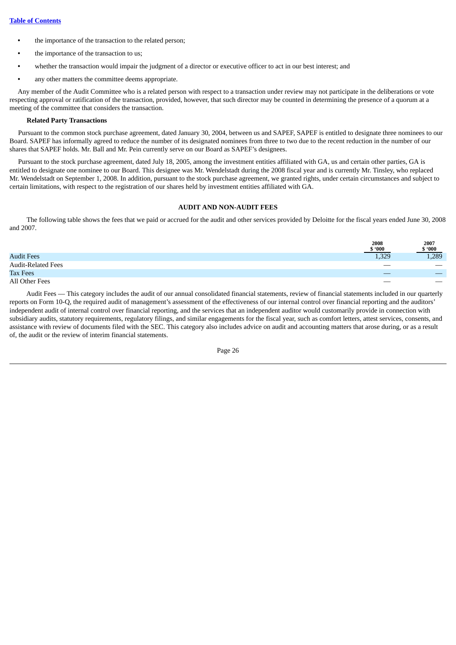- **•** the importance of the transaction to the related person;
- **•** the importance of the transaction to us;
- **•** whether the transaction would impair the judgment of a director or executive officer to act in our best interest; and
- **•** any other matters the committee deems appropriate.

Any member of the Audit Committee who is a related person with respect to a transaction under review may not participate in the deliberations or vote respecting approval or ratification of the transaction, provided, however, that such director may be counted in determining the presence of a quorum at a meeting of the committee that considers the transaction.

# **Related Party Transactions**

Pursuant to the common stock purchase agreement, dated January 30, 2004, between us and SAPEF, SAPEF is entitled to designate three nominees to our Board. SAPEF has informally agreed to reduce the number of its designated nominees from three to two due to the recent reduction in the number of our shares that SAPEF holds. Mr. Ball and Mr. Pein currently serve on our Board as SAPEF's designees.

Pursuant to the stock purchase agreement, dated July 18, 2005, among the investment entities affiliated with GA, us and certain other parties, GA is entitled to designate one nominee to our Board. This designee was Mr. Wendelstadt during the 2008 fiscal year and is currently Mr. Tinsley, who replaced Mr. Wendelstadt on September 1, 2008. In addition, pursuant to the stock purchase agreement, we granted rights, under certain circumstances and subject to certain limitations, with respect to the registration of our shares held by investment entities affiliated with GA.

# **AUDIT AND NON-AUDIT FEES**

<span id="page-29-0"></span>The following table shows the fees that we paid or accrued for the audit and other services provided by Deloitte for the fiscal years ended June 30, 2008 and 2007.

|                           | 2008<br>\$.000 | 2007<br>\$.000    |
|---------------------------|----------------|-------------------|
| <b>Audit Fees</b>         | 1,329          | 1,289             |
| <b>Audit-Related Fees</b> |                | $\hspace{0.05cm}$ |
| <b>Tax Fees</b>           |                |                   |
| All Other Fees            |                |                   |

Audit Fees — This category includes the audit of our annual consolidated financial statements, review of financial statements included in our quarterly reports on Form 10-Q, the required audit of management's assessment of the effectiveness of our internal control over financial reporting and the auditors' independent audit of internal control over financial reporting, and the services that an independent auditor would customarily provide in connection with subsidiary audits, statutory requirements, regulatory filings, and similar engagements for the fiscal year, such as comfort letters, attest services, consents, and assistance with review of documents filed with the SEC. This category also includes advice on audit and accounting matters that arose during, or as a result of, the audit or the review of interim financial statements.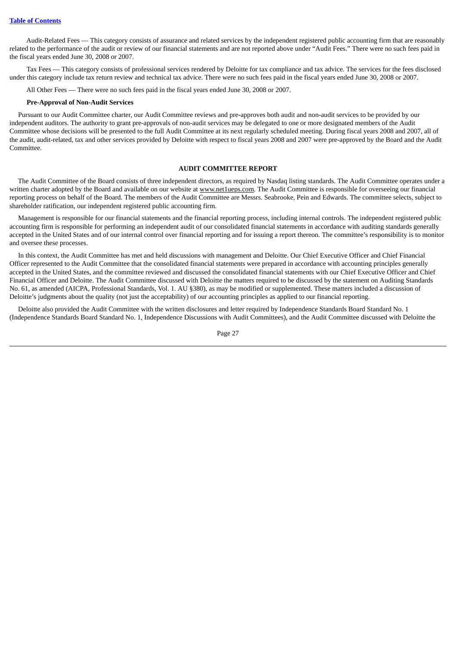Audit-Related Fees — This category consists of assurance and related services by the independent registered public accounting firm that are reasonably related to the performance of the audit or review of our financial statements and are not reported above under "Audit Fees." There were no such fees paid in the fiscal years ended June 30, 2008 or 2007.

Tax Fees — This category consists of professional services rendered by Deloitte for tax compliance and tax advice. The services for the fees disclosed under this category include tax return review and technical tax advice. There were no such fees paid in the fiscal years ended June 30, 2008 or 2007.

All Other Fees — There were no such fees paid in the fiscal years ended June 30, 2008 or 2007.

#### **Pre-Approval of Non-Audit Services**

Pursuant to our Audit Committee charter, our Audit Committee reviews and pre-approves both audit and non-audit services to be provided by our independent auditors. The authority to grant pre-approvals of non-audit services may be delegated to one or more designated members of the Audit Committee whose decisions will be presented to the full Audit Committee at its next regularly scheduled meeting. During fiscal years 2008 and 2007, all of the audit, audit-related, tax and other services provided by Deloitte with respect to fiscal years 2008 and 2007 were pre-approved by the Board and the Audit Committee.

### **AUDIT COMMITTEE REPORT**

<span id="page-30-0"></span>The Audit Committee of the Board consists of three independent directors, as required by Nasdaq listing standards. The Audit Committee operates under a written charter adopted by the Board and available on our website at www.net1ueps.com. The Audit Committee is responsible for overseeing our financial reporting process on behalf of the Board. The members of the Audit Committee are Messrs. Seabrooke, Pein and Edwards. The committee selects, subject to shareholder ratification, our independent registered public accounting firm.

Management is responsible for our financial statements and the financial reporting process, including internal controls. The independent registered public accounting firm is responsible for performing an independent audit of our consolidated financial statements in accordance with auditing standards generally accepted in the United States and of our internal control over financial reporting and for issuing a report thereon. The committee's responsibility is to monitor and oversee these processes.

In this context, the Audit Committee has met and held discussions with management and Deloitte. Our Chief Executive Officer and Chief Financial Officer represented to the Audit Committee that the consolidated financial statements were prepared in accordance with accounting principles generally accepted in the United States, and the committee reviewed and discussed the consolidated financial statements with our Chief Executive Officer and Chief Financial Officer and Deloitte. The Audit Committee discussed with Deloitte the matters required to be discussed by the statement on Auditing Standards No. 61, as amended (AICPA, Professional Standards, Vol. 1. AU §380), as may be modified or supplemented. These matters included a discussion of Deloitte's judgments about the quality (not just the acceptability) of our accounting principles as applied to our financial reporting.

Deloitte also provided the Audit Committee with the written disclosures and letter required by Independence Standards Board Standard No. 1 (Independence Standards Board Standard No. 1, Independence Discussions with Audit Committees), and the Audit Committee discussed with Deloitte the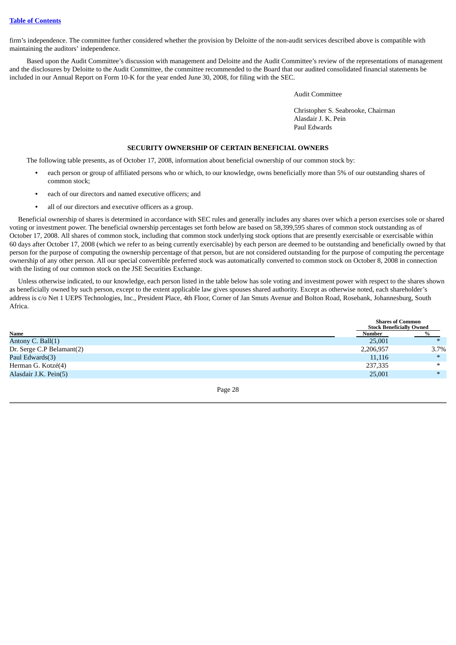firm's independence. The committee further considered whether the provision by Deloitte of the non-audit services described above is compatible with maintaining the auditors' independence.

Based upon the Audit Committee's discussion with management and Deloitte and the Audit Committee's review of the representations of management and the disclosures by Deloitte to the Audit Committee, the committee recommended to the Board that our audited consolidated financial statements be included in our Annual Report on Form 10-K for the year ended June 30, 2008, for filing with the SEC.

Audit Committee

Christopher S. Seabrooke, Chairman Alasdair J. K. Pein Paul Edwards

### **SECURITY OWNERSHIP OF CERTAIN BENEFICIAL OWNERS**

<span id="page-31-0"></span>The following table presents, as of October 17, 2008, information about beneficial ownership of our common stock by:

- **•** each person or group of affiliated persons who or which, to our knowledge, owns beneficially more than 5% of our outstanding shares of common stock;
- **•** each of our directors and named executive officers; and
- **•** all of our directors and executive officers as a group.

Beneficial ownership of shares is determined in accordance with SEC rules and generally includes any shares over which a person exercises sole or shared voting or investment power. The beneficial ownership percentages set forth below are based on 58,399,595 shares of common stock outstanding as of October 17, 2008. All shares of common stock, including that common stock underlying stock options that are presently exercisable or exercisable within 60 days after October 17, 2008 (which we refer to as being currently exercisable) by each person are deemed to be outstanding and beneficially owned by that person for the purpose of computing the ownership percentage of that person, but are not considered outstanding for the purpose of computing the percentage ownership of any other person. All our special convertible preferred stock was automatically converted to common stock on October 8, 2008 in connection with the listing of our common stock on the JSE Securities Exchange.

Unless otherwise indicated, to our knowledge, each person listed in the table below has sole voting and investment power with respect to the shares shown as beneficially owned by such person, except to the extent applicable law gives spouses shared authority. Except as otherwise noted, each shareholder's address is c/o Net 1 UEPS Technologies, Inc., President Place, 4th Floor, Corner of Jan Smuts Avenue and Bolton Road, Rosebank, Johannesburg, South Africa.

|                           | <b>Shares of Common</b><br><b>Stock Beneficially Owned</b> |      |
|---------------------------|------------------------------------------------------------|------|
| Name                      | Number                                                     |      |
| Antony C. Ball(1)         | 25,001                                                     |      |
| Dr. Serge C.P Belamant(2) | 2,206,957                                                  | 3.7% |
| Paul Edwards(3)           | 11,116                                                     |      |
| Herman G. Kotzé(4)        | 237,335                                                    |      |
| Alasdair J.K. Pein(5)     | 25,001                                                     |      |
|                           |                                                            |      |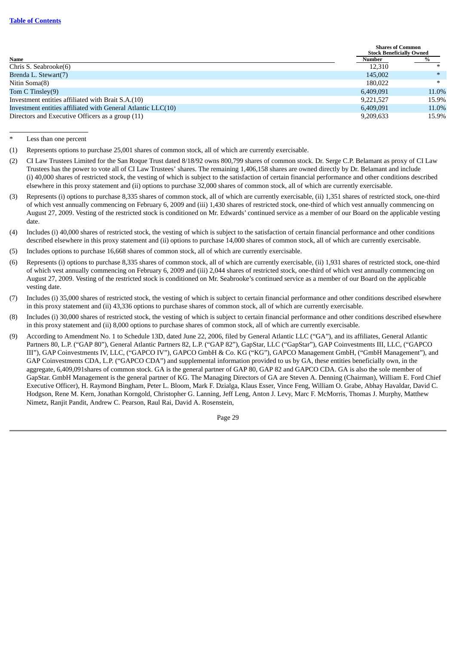|                                                              |           | <b>Shares of Common</b><br><b>Stock Beneficially Owned</b> |  |  |
|--------------------------------------------------------------|-----------|------------------------------------------------------------|--|--|
| Name                                                         | Number    |                                                            |  |  |
| Chris S. Seabrooke(6)                                        | 12.310    | ж                                                          |  |  |
| Brenda L. Stewart(7)                                         | 145,002   | $*$                                                        |  |  |
| Nitin Soma(8)                                                | 180,022   |                                                            |  |  |
| Tom C Tinsley(9)                                             | 6,409,091 | 11.0%                                                      |  |  |
| Investment entities affiliated with Brait S.A.(10)           | 9.221.527 | 15.9%                                                      |  |  |
| Investment entities affiliated with General Atlantic LLC(10) | 6,409,091 | 11.0%                                                      |  |  |
| Directors and Executive Officers as a group (11)             | 9,209,633 | 15.9%                                                      |  |  |

Less than one percent

- (2) CI Law Trustees Limited for the San Roque Trust dated 8/18/92 owns 800,799 shares of common stock. Dr. Serge C.P. Belamant as proxy of CI Law Trustees has the power to vote all of CI Law Trustees' shares. The remaining 1,406,158 shares are owned directly by Dr. Belamant and include (i) 40,000 shares of restricted stock, the vesting of which is subject to the satisfaction of certain financial performance and other conditions described elsewhere in this proxy statement and (ii) options to purchase 32,000 shares of common stock, all of which are currently exercisable.
- (3) Represents (i) options to purchase 8,335 shares of common stock, all of which are currently exercisable, (ii) 1,351 shares of restricted stock, one-third of which vest annually commencing on February 6, 2009 and (iii) 1,430 shares of restricted stock, one-third of which vest annually commencing on August 27, 2009. Vesting of the restricted stock is conditioned on Mr. Edwards' continued service as a member of our Board on the applicable vesting date.
- (4) Includes (i) 40,000 shares of restricted stock, the vesting of which is subject to the satisfaction of certain financial performance and other conditions described elsewhere in this proxy statement and (ii) options to purchase 14,000 shares of common stock, all of which are currently exercisable.
- (5) Includes options to purchase 16,668 shares of common stock, all of which are currently exercisable.
- (6) Represents (i) options to purchase 8,335 shares of common stock, all of which are currently exercisable, (ii) 1,931 shares of restricted stock, one-third of which vest annually commencing on February 6, 2009 and (iii) 2,044 shares of restricted stock, one-third of which vest annually commencing on August 27, 2009. Vesting of the restricted stock is conditioned on Mr. Seabrooke's continued service as a member of our Board on the applicable vesting date.
- (7) Includes (i) 35,000 shares of restricted stock, the vesting of which is subject to certain financial performance and other conditions described elsewhere in this proxy statement and (ii) 43,336 options to purchase shares of common stock, all of which are currently exercisable.
- (8) Includes (i) 30,000 shares of restricted stock, the vesting of which is subject to certain financial performance and other conditions described elsewhere in this proxy statement and (ii) 8,000 options to purchase shares of common stock, all of which are currently exercisable.
- (9) According to Amendment No. 1 to Schedule 13D, dated June 22, 2006, filed by General Atlantic LLC ("GA"), and its affiliates, General Atlantic Partners 80, L.P. ("GAP 80"), General Atlantic Partners 82, L.P. ("GAP 82"), GapStar, LLC ("GapStar"), GAP Coinvestments III, LLC, ("GAPCO III"), GAP Coinvestments IV, LLC, ("GAPCO IV"), GAPCO GmbH & Co. KG ("KG"), GAPCO Management GmbH, ("GmbH Management"), and GAP Coinvestments CDA, L.P. ("GAPCO CDA") and supplemental information provided to us by GA, these entities beneficially own, in the aggregate, 6,409,091shares of common stock. GA is the general partner of GAP 80, GAP 82 and GAPCO CDA. GA is also the sole member of GapStar. GmbH Management is the general partner of KG. The Managing Directors of GA are Steven A. Denning (Chairman), William E. Ford Chief Executive Officer), H. Raymond Bingham, Peter L. Bloom, Mark F. Dzialga, Klaus Esser, Vince Feng, William O. Grabe, Abhay Havaldar, David C. Hodgson, Rene M. Kern, Jonathan Korngold, Christopher G. Lanning, Jeff Leng, Anton J. Levy, Marc F. McMorris, Thomas J. Murphy, Matthew Nimetz, Ranjit Pandit, Andrew C. Pearson, Raul Rai, David A. Rosenstein,

<sup>(1)</sup> Represents options to purchase 25,001 shares of common stock, all of which are currently exercisable.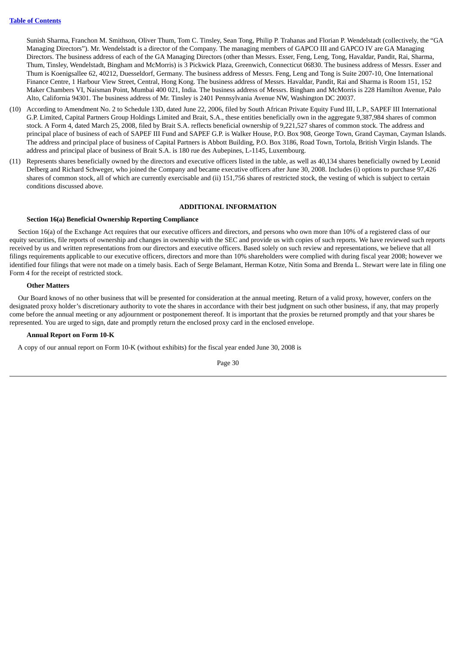Sunish Sharma, Franchon M. Smithson, Oliver Thum, Tom C. Tinsley, Sean Tong, Philip P. Trahanas and Florian P. Wendelstadt (collectively, the "GA Managing Directors"). Mr. Wendelstadt is a director of the Company. The managing members of GAPCO III and GAPCO IV are GA Managing Directors. The business address of each of the GA Managing Directors (other than Messrs. Esser, Feng, Leng, Tong, Havaldar, Pandit, Rai, Sharma, Thum, Tinsley, Wendelstadt, Bingham and McMorris) is 3 Pickwick Plaza, Greenwich, Connecticut 06830. The business address of Messrs. Esser and Thum is Koenigsallee 62, 40212, Duesseldorf, Germany. The business address of Messrs. Feng, Leng and Tong is Suite 2007-10, One International Finance Centre, 1 Harbour View Street, Central, Hong Kong. The business address of Messrs. Havaldar, Pandit, Rai and Sharma is Room 151, 152 Maker Chambers VI, Naisman Point, Mumbai 400 021, India. The business address of Messrs. Bingham and McMorris is 228 Hamilton Avenue, Palo Alto, California 94301. The business address of Mr. Tinsley is 2401 Pennsylvania Avenue NW, Washington DC 20037.

- (10) According to Amendment No. 2 to Schedule 13D, dated June 22, 2006, filed by South African Private Equity Fund III, L.P., SAPEF III International G.P. Limited, Capital Partners Group Holdings Limited and Brait, S.A., these entities beneficially own in the aggregate 9,387,984 shares of common stock. A Form 4, dated March 25, 2008, filed by Brait S.A. reflects beneficial ownership of 9,221,527 shares of common stock. The address and principal place of business of each of SAPEF III Fund and SAPEF G.P. is Walker House, P.O. Box 908, George Town, Grand Cayman, Cayman Islands. The address and principal place of business of Capital Partners is Abbott Building, P.O. Box 3186, Road Town, Tortola, British Virgin Islands. The address and principal place of business of Brait S.A. is 180 rue des Aubepines, L-1145, Luxembourg.
- (11) Represents shares beneficially owned by the directors and executive officers listed in the table, as well as 40,134 shares beneficially owned by Leonid Delberg and Richard Schweger, who joined the Company and became executive officers after June 30, 2008. Includes (i) options to purchase 97,426 shares of common stock, all of which are currently exercisable and (ii) 151,756 shares of restricted stock, the vesting of which is subject to certain conditions discussed above.

# **ADDITIONAL INFORMATION**

### <span id="page-33-0"></span>**Section 16(a) Beneficial Ownership Reporting Compliance**

Section 16(a) of the Exchange Act requires that our executive officers and directors, and persons who own more than 10% of a registered class of our equity securities, file reports of ownership and changes in ownership with the SEC and provide us with copies of such reports. We have reviewed such reports received by us and written representations from our directors and executive officers. Based solely on such review and representations, we believe that all filings requirements applicable to our executive officers, directors and more than 10% shareholders were complied with during fiscal year 2008; however we identified four filings that were not made on a timely basis. Each of Serge Belamant, Herman Kotze, Nitin Soma and Brenda L. Stewart were late in filing one Form 4 for the receipt of restricted stock.

### **Other Matters**

Our Board knows of no other business that will be presented for consideration at the annual meeting. Return of a valid proxy, however, confers on the designated proxy holder's discretionary authority to vote the shares in accordance with their best judgment on such other business, if any, that may properly come before the annual meeting or any adjournment or postponement thereof. It is important that the proxies be returned promptly and that your shares be represented. You are urged to sign, date and promptly return the enclosed proxy card in the enclosed envelope.

### **Annual Report on Form 10-K**

A copy of our annual report on Form 10-K (without exhibits) for the fiscal year ended June 30, 2008 is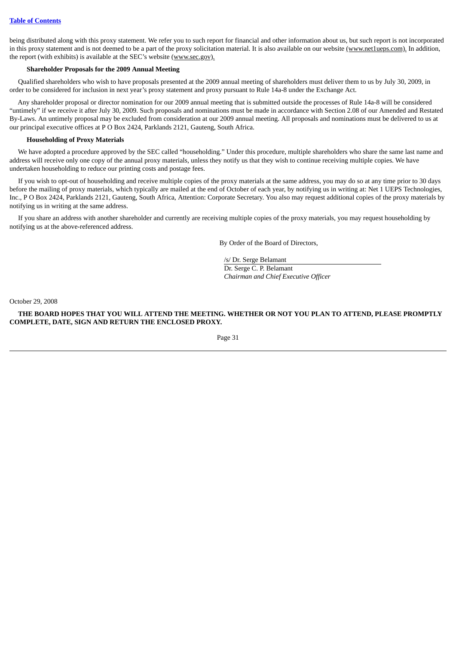being distributed along with this proxy statement. We refer you to such report for financial and other information about us, but such report is not incorporated in this proxy statement and is not deemed to be a part of the proxy solicitation material. It is also available on our website (www.net1ueps.com). In addition, the report (with exhibits) is available at the SEC's website (www.sec.gov).

# **Shareholder Proposals for the 2009 Annual Meeting**

Qualified shareholders who wish to have proposals presented at the 2009 annual meeting of shareholders must deliver them to us by July 30, 2009, in order to be considered for inclusion in next year's proxy statement and proxy pursuant to Rule 14a-8 under the Exchange Act.

Any shareholder proposal or director nomination for our 2009 annual meeting that is submitted outside the processes of Rule 14a-8 will be considered "untimely" if we receive it after July 30, 2009. Such proposals and nominations must be made in accordance with Section 2.08 of our Amended and Restated By-Laws. An untimely proposal may be excluded from consideration at our 2009 annual meeting. All proposals and nominations must be delivered to us at our principal executive offices at P O Box 2424, Parklands 2121, Gauteng, South Africa.

# **Householding of Proxy Materials**

We have adopted a procedure approved by the SEC called "householding." Under this procedure, multiple shareholders who share the same last name and address will receive only one copy of the annual proxy materials, unless they notify us that they wish to continue receiving multiple copies. We have undertaken householding to reduce our printing costs and postage fees.

If you wish to opt-out of householding and receive multiple copies of the proxy materials at the same address, you may do so at any time prior to 30 days before the mailing of proxy materials, which typically are mailed at the end of October of each year, by notifying us in writing at: Net 1 UEPS Technologies, Inc., P O Box 2424, Parklands 2121, Gauteng, South Africa, Attention: Corporate Secretary. You also may request additional copies of the proxy materials by notifying us in writing at the same address.

If you share an address with another shareholder and currently are receiving multiple copies of the proxy materials, you may request householding by notifying us at the above-referenced address.

By Order of the Board of Directors,

/s/ Dr. Serge Belamant Dr. Serge C. P. Belamant *Chairman and Chief Executive Officer*

October 29, 2008

THE BOARD HOPES THAT YOU WILL ATTEND THE MEETING. WHETHER OR NOT YOU PLAN TO ATTEND, PLEASE PROMPTLY **COMPLETE, DATE, SIGN AND RETURN THE ENCLOSED PROXY.**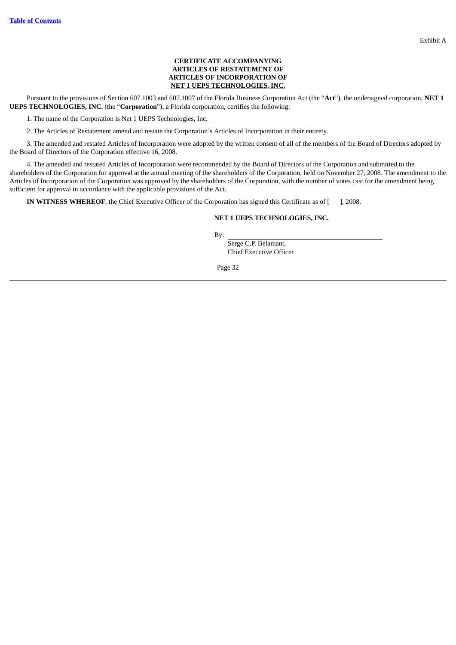# **CERTIFICATE ACCOMPANYING ARTICLES OF RESTATEMENT OF ARTICLES OF INCORPORATION OF NET 1 UEPS TECHNOLOGIES, INC.**

Pursuant to the provisions of Section 607.1003 and 607.1007 of the Florida Business Corporation Act (the "**Act**"), the undersigned corporation, **NET 1 UEPS TECHNOLOGIES, INC.** (the "**Corporation**"), a Florida corporation, certifies the following:

1. The name of the Corporation is Net 1 UEPS Technologies, Inc.

2. The Articles of Restatement amend and restate the Corporation's Articles of Incorporation in their entirety.

3. The amended and restated Articles of Incorporation were adopted by the written consent of all of the members of the Board of Directors adopted by the Board of Directors of the Corporation effective 16, 2008.

4. The amended and restated Articles of Incorporation were recommended by the Board of Directors of the Corporation and submitted to the shareholders of the Corporation for approval at the annual meeting of the shareholders of the Corporation, held on November 27, 2008. The amendment to the Articles of Incorporation of the Corporation was approved by the shareholders of the Corporation, with the number of votes cast for the amendment being sufficient for approval in accordance with the applicable provisions of the Act.

**IN WITNESS WHEREOF**, the Chief Executive Officer of the Corporation has signed this Certificate as of [ ], 2008.

# **NET 1 UEPS TECHNOLOGIES, INC.**

By:

Serge C.P. Belamant, Chief Executive Officer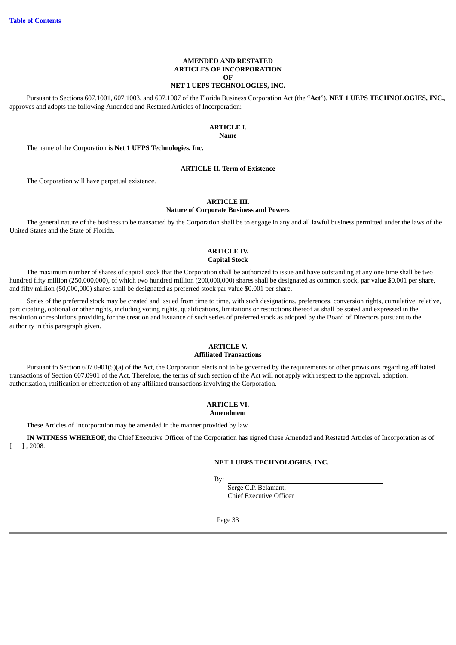# **AMENDED AND RESTATED ARTICLES OF INCORPORATION OF NET 1 UEPS TECHNOLOGIES, INC.**

Pursuant to Sections 607.1001, 607.1003, and 607.1007 of the Florida Business Corporation Act (the "**Act**"), **NET 1 UEPS TECHNOLOGIES, INC.**, approves and adopts the following Amended and Restated Articles of Incorporation:

# **ARTICLE I.**

**Name**

The name of the Corporation is **Net 1 UEPS Technologies, Inc.**

# **ARTICLE II. Term of Existence**

The Corporation will have perpetual existence.

# **ARTICLE III.**

### **Nature of Corporate Business and Powers**

The general nature of the business to be transacted by the Corporation shall be to engage in any and all lawful business permitted under the laws of the United States and the State of Florida.

### **ARTICLE IV. Capital Stock**

The maximum number of shares of capital stock that the Corporation shall be authorized to issue and have outstanding at any one time shall be two hundred fifty million (250,000,000), of which two hundred million (200,000,000) shares shall be designated as common stock, par value \$0.001 per share, and fifty million (50,000,000) shares shall be designated as preferred stock par value \$0.001 per share.

Series of the preferred stock may be created and issued from time to time, with such designations, preferences, conversion rights, cumulative, relative, participating, optional or other rights, including voting rights, qualifications, limitations or restrictions thereof as shall be stated and expressed in the resolution or resolutions providing for the creation and issuance of such series of preferred stock as adopted by the Board of Directors pursuant to the authority in this paragraph given.

# **ARTICLE V.**

# **Affiliated Transactions**

Pursuant to Section 607.0901(5)(a) of the Act, the Corporation elects not to be governed by the requirements or other provisions regarding affiliated transactions of Section 607.0901 of the Act. Therefore, the terms of such section of the Act will not apply with respect to the approval, adoption, authorization, ratification or effectuation of any affiliated transactions involving the Corporation.

### **ARTICLE VI. Amendment**

These Articles of Incorporation may be amended in the manner provided by law.

**IN WITNESS WHEREOF,** the Chief Executive Officer of the Corporation has signed these Amended and Restated Articles of Incorporation as of [ ] , 2008.

# **NET 1 UEPS TECHNOLOGIES, INC.**

By:

Serge C.P. Belamant, Chief Executive Officer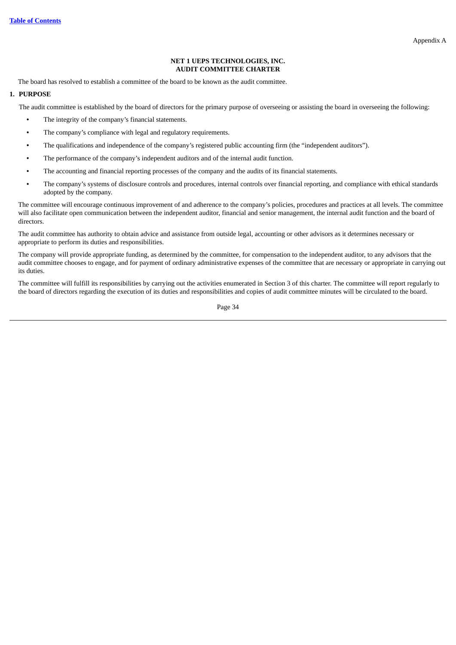# **NET 1 UEPS TECHNOLOGIES, INC. AUDIT COMMITTEE CHARTER**

The board has resolved to establish a committee of the board to be known as the audit committee.

# **1. PURPOSE**

The audit committee is established by the board of directors for the primary purpose of overseeing or assisting the board in overseeing the following:

- **•** The integrity of the company's financial statements.
- **•** The company's compliance with legal and regulatory requirements.
- **•** The qualifications and independence of the company's registered public accounting firm (the "independent auditors").
- **•** The performance of the company's independent auditors and of the internal audit function.
- **•** The accounting and financial reporting processes of the company and the audits of its financial statements.
- **•** The company's systems of disclosure controls and procedures, internal controls over financial reporting, and compliance with ethical standards adopted by the company.

The committee will encourage continuous improvement of and adherence to the company's policies, procedures and practices at all levels. The committee will also facilitate open communication between the independent auditor, financial and senior management, the internal audit function and the board of directors.

The audit committee has authority to obtain advice and assistance from outside legal, accounting or other advisors as it determines necessary or appropriate to perform its duties and responsibilities.

The company will provide appropriate funding, as determined by the committee, for compensation to the independent auditor, to any advisors that the audit committee chooses to engage, and for payment of ordinary administrative expenses of the committee that are necessary or appropriate in carrying out its duties.

The committee will fulfill its responsibilities by carrying out the activities enumerated in Section 3 of this charter. The committee will report regularly to the board of directors regarding the execution of its duties and responsibilities and copies of audit committee minutes will be circulated to the board.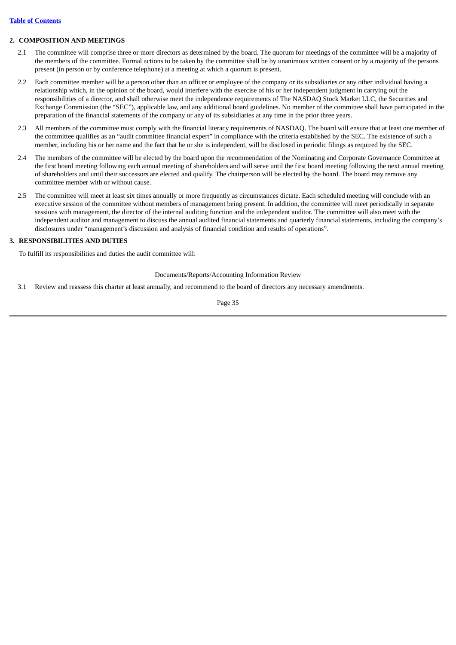# **2. COMPOSITION AND MEETINGS**

- 2.1 The committee will comprise three or more directors as determined by the board. The quorum for meetings of the committee will be a majority of the members of the committee. Formal actions to be taken by the committee shall be by unanimous written consent or by a majority of the persons present (in person or by conference telephone) at a meeting at which a quorum is present.
- 2.2 Each committee member will be a person other than an officer or employee of the company or its subsidiaries or any other individual having a relationship which, in the opinion of the board, would interfere with the exercise of his or her independent judgment in carrying out the responsibilities of a director, and shall otherwise meet the independence requirements of The NASDAQ Stock Market LLC, the Securities and Exchange Commission (the "SEC"), applicable law, and any additional board guidelines. No member of the committee shall have participated in the preparation of the financial statements of the company or any of its subsidiaries at any time in the prior three years.
- 2.3 All members of the committee must comply with the financial literacy requirements of NASDAQ. The board will ensure that at least one member of the committee qualifies as an "audit committee financial expert" in compliance with the criteria established by the SEC. The existence of such a member, including his or her name and the fact that he or she is independent, will be disclosed in periodic filings as required by the SEC.
- 2.4 The members of the committee will be elected by the board upon the recommendation of the Nominating and Corporate Governance Committee at the first board meeting following each annual meeting of shareholders and will serve until the first board meeting following the next annual meeting of shareholders and until their successors are elected and qualify. The chairperson will be elected by the board. The board may remove any committee member with or without cause.
- 2.5 The committee will meet at least six times annually or more frequently as circumstances dictate. Each scheduled meeting will conclude with an executive session of the committee without members of management being present. In addition, the committee will meet periodically in separate sessions with management, the director of the internal auditing function and the independent auditor. The committee will also meet with the independent auditor and management to discuss the annual audited financial statements and quarterly financial statements, including the company's disclosures under "management's discussion and analysis of financial condition and results of operations".

# **3. RESPONSIBILITIES AND DUTIES**

To fulfill its responsibilities and duties the audit committee will:

Documents/Reports/Accounting Information Review

3.1 Review and reassess this charter at least annually, and recommend to the board of directors any necessary amendments.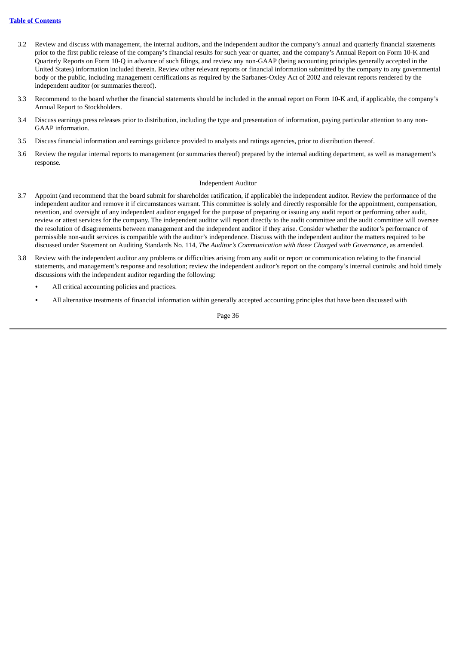- 3.2 Review and discuss with management, the internal auditors, and the independent auditor the company's annual and quarterly financial statements prior to the first public release of the company's financial results for such year or quarter, and the company's Annual Report on Form 10-K and Quarterly Reports on Form 10-Q in advance of such filings, and review any non-GAAP (being accounting principles generally accepted in the United States) information included therein. Review other relevant reports or financial information submitted by the company to any governmental body or the public, including management certifications as required by the Sarbanes-Oxley Act of 2002 and relevant reports rendered by the independent auditor (or summaries thereof).
- 3.3 Recommend to the board whether the financial statements should be included in the annual report on Form 10-K and, if applicable, the company's Annual Report to Stockholders.
- 3.4 Discuss earnings press releases prior to distribution, including the type and presentation of information, paying particular attention to any non-GAAP information.
- 3.5 Discuss financial information and earnings guidance provided to analysts and ratings agencies, prior to distribution thereof.
- 3.6 Review the regular internal reports to management (or summaries thereof) prepared by the internal auditing department, as well as management's response.

### Independent Auditor

- 3.7 Appoint (and recommend that the board submit for shareholder ratification, if applicable) the independent auditor. Review the performance of the independent auditor and remove it if circumstances warrant. This committee is solely and directly responsible for the appointment, compensation, retention, and oversight of any independent auditor engaged for the purpose of preparing or issuing any audit report or performing other audit, review or attest services for the company. The independent auditor will report directly to the audit committee and the audit committee will oversee the resolution of disagreements between management and the independent auditor if they arise. Consider whether the auditor's performance of permissible non-audit services is compatible with the auditor's independence. Discuss with the independent auditor the matters required to be discussed under Statement on Auditing Standards No. 114, *The Auditor's Communication with those Charged with Governance*, as amended.
- 3.8 Review with the independent auditor any problems or difficulties arising from any audit or report or communication relating to the financial statements, and management's response and resolution; review the independent auditor's report on the company's internal controls; and hold timely discussions with the independent auditor regarding the following:
	- **•** All critical accounting policies and practices.
	- **•** All alternative treatments of financial information within generally accepted accounting principles that have been discussed with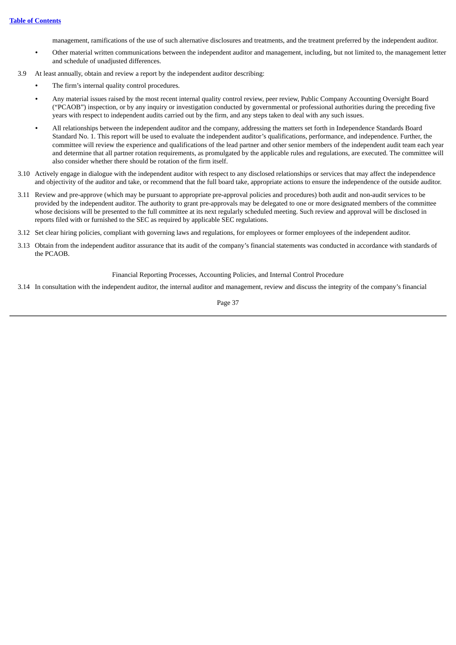management, ramifications of the use of such alternative disclosures and treatments, and the treatment preferred by the independent auditor.

- **•** Other material written communications between the independent auditor and management, including, but not limited to, the management letter and schedule of unadjusted differences.
- 3.9 At least annually, obtain and review a report by the independent auditor describing:
	- **•** The firm's internal quality control procedures.
	- **•** Any material issues raised by the most recent internal quality control review, peer review, Public Company Accounting Oversight Board ("PCAOB") inspection, or by any inquiry or investigation conducted by governmental or professional authorities during the preceding five years with respect to independent audits carried out by the firm, and any steps taken to deal with any such issues.
	- **•** All relationships between the independent auditor and the company, addressing the matters set forth in Independence Standards Board Standard No. 1. This report will be used to evaluate the independent auditor's qualifications, performance, and independence. Further, the committee will review the experience and qualifications of the lead partner and other senior members of the independent audit team each year and determine that all partner rotation requirements, as promulgated by the applicable rules and regulations, are executed. The committee will also consider whether there should be rotation of the firm itself.
- 3.10 Actively engage in dialogue with the independent auditor with respect to any disclosed relationships or services that may affect the independence and objectivity of the auditor and take, or recommend that the full board take, appropriate actions to ensure the independence of the outside auditor.
- 3.11 Review and pre-approve (which may be pursuant to appropriate pre-approval policies and procedures) both audit and non-audit services to be provided by the independent auditor. The authority to grant pre-approvals may be delegated to one or more designated members of the committee whose decisions will be presented to the full committee at its next regularly scheduled meeting. Such review and approval will be disclosed in reports filed with or furnished to the SEC as required by applicable SEC regulations.
- 3.12 Set clear hiring policies, compliant with governing laws and regulations, for employees or former employees of the independent auditor.
- 3.13 Obtain from the independent auditor assurance that its audit of the company's financial statements was conducted in accordance with standards of the PCAOB.

Financial Reporting Processes, Accounting Policies, and Internal Control Procedure

3.14 In consultation with the independent auditor, the internal auditor and management, review and discuss the integrity of the company's financial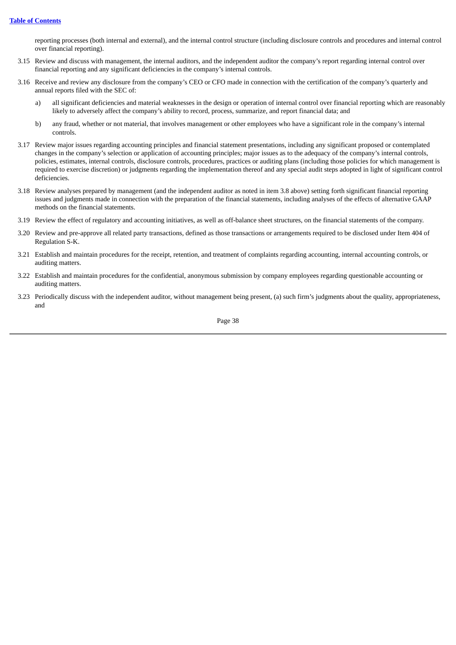reporting processes (both internal and external), and the internal control structure (including disclosure controls and procedures and internal control over financial reporting).

- 3.15 Review and discuss with management, the internal auditors, and the independent auditor the company's report regarding internal control over financial reporting and any significant deficiencies in the company's internal controls.
- 3.16 Receive and review any disclosure from the company's CEO or CFO made in connection with the certification of the company's quarterly and annual reports filed with the SEC of:
	- a) all significant deficiencies and material weaknesses in the design or operation of internal control over financial reporting which are reasonably likely to adversely affect the company's ability to record, process, summarize, and report financial data; and
	- b) any fraud, whether or not material, that involves management or other employees who have a significant role in the company's internal controls.
- 3.17 Review major issues regarding accounting principles and financial statement presentations, including any significant proposed or contemplated changes in the company's selection or application of accounting principles; major issues as to the adequacy of the company's internal controls, policies, estimates, internal controls, disclosure controls, procedures, practices or auditing plans (including those policies for which management is required to exercise discretion) or judgments regarding the implementation thereof and any special audit steps adopted in light of significant control deficiencies.
- 3.18 Review analyses prepared by management (and the independent auditor as noted in item 3.8 above) setting forth significant financial reporting issues and judgments made in connection with the preparation of the financial statements, including analyses of the effects of alternative GAAP methods on the financial statements.
- 3.19 Review the effect of regulatory and accounting initiatives, as well as off-balance sheet structures, on the financial statements of the company.
- 3.20 Review and pre-approve all related party transactions, defined as those transactions or arrangements required to be disclosed under Item 404 of Regulation S-K.
- 3.21 Establish and maintain procedures for the receipt, retention, and treatment of complaints regarding accounting, internal accounting controls, or auditing matters.
- 3.22 Establish and maintain procedures for the confidential, anonymous submission by company employees regarding questionable accounting or auditing matters.
- 3.23 Periodically discuss with the independent auditor, without management being present, (a) such firm's judgments about the quality, appropriateness, and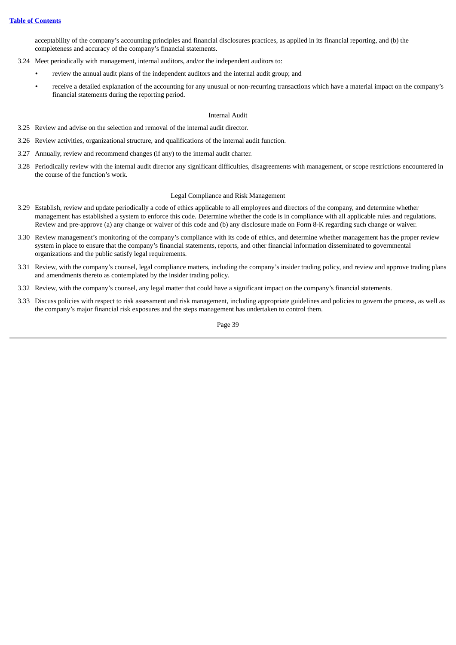acceptability of the company's accounting principles and financial disclosures practices, as applied in its financial reporting, and (b) the completeness and accuracy of the company's financial statements.

- 3.24 Meet periodically with management, internal auditors, and/or the independent auditors to:
	- **•** review the annual audit plans of the independent auditors and the internal audit group; and
		- **•** receive a detailed explanation of the accounting for any unusual or non-recurring transactions which have a material impact on the company's financial statements during the reporting period.

### Internal Audit

- 3.25 Review and advise on the selection and removal of the internal audit director.
- 3.26 Review activities, organizational structure, and qualifications of the internal audit function.
- 3.27 Annually, review and recommend changes (if any) to the internal audit charter.
- 3.28 Periodically review with the internal audit director any significant difficulties, disagreements with management, or scope restrictions encountered in the course of the function's work.

### Legal Compliance and Risk Management

- 3.29 Establish, review and update periodically a code of ethics applicable to all employees and directors of the company, and determine whether management has established a system to enforce this code. Determine whether the code is in compliance with all applicable rules and regulations. Review and pre-approve (a) any change or waiver of this code and (b) any disclosure made on Form 8-K regarding such change or waiver.
- 3.30 Review management's monitoring of the company's compliance with its code of ethics, and determine whether management has the proper review system in place to ensure that the company's financial statements, reports, and other financial information disseminated to governmental organizations and the public satisfy legal requirements.
- 3.31 Review, with the company's counsel, legal compliance matters, including the company's insider trading policy, and review and approve trading plans and amendments thereto as contemplated by the insider trading policy.
- 3.32 Review, with the company's counsel, any legal matter that could have a significant impact on the company's financial statements.
- 3.33 Discuss policies with respect to risk assessment and risk management, including appropriate guidelines and policies to govern the process, as well as the company's major financial risk exposures and the steps management has undertaken to control them.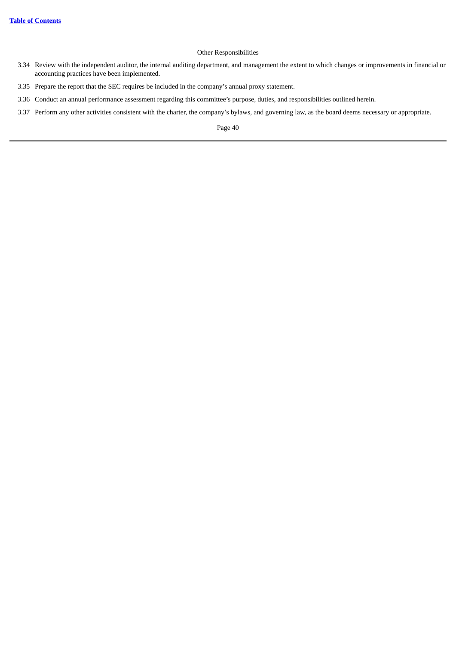# Other Responsibilities

- 3.34 Review with the independent auditor, the internal auditing department, and management the extent to which changes or improvements in financial or accounting practices have been implemented.
- 3.35 Prepare the report that the SEC requires be included in the company's annual proxy statement.
- 3.36 Conduct an annual performance assessment regarding this committee's purpose, duties, and responsibilities outlined herein.
- 3.37 Perform any other activities consistent with the charter, the company's bylaws, and governing law, as the board deems necessary or appropriate.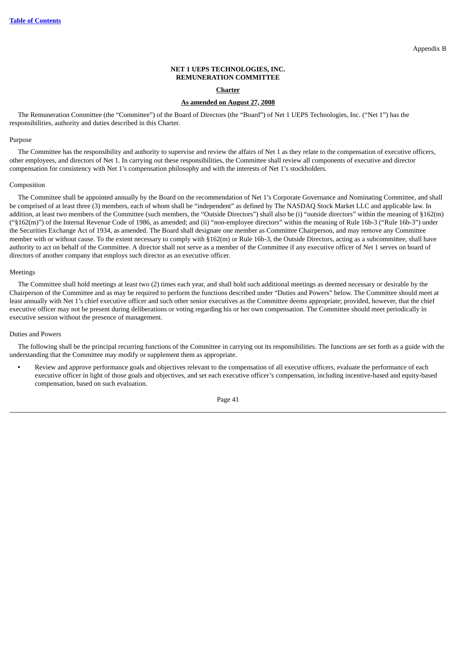### **NET 1 UEPS TECHNOLOGIES, INC. REMUNERATION COMMITTEE**

### **Charter**

### **As amended on August 27, 2008**

The Remuneration Committee (the "Committee") of the Board of Directors (the "Board") of Net 1 UEPS Technologies, Inc. ("Net 1") has the responsibilities, authority and duties described in this Charter.

# Purpose

The Committee has the responsibility and authority to supervise and review the affairs of Net 1 as they relate to the compensation of executive officers, other employees, and directors of Net 1. In carrying out these responsibilities, the Committee shall review all components of executive and director compensation for consistency with Net 1's compensation philosophy and with the interests of Net 1's stockholders.

#### Composition

The Committee shall be appointed annually by the Board on the recommendation of Net 1's Corporate Governance and Nominating Committee, and shall be comprised of at least three (3) members, each of whom shall be "independent" as defined by The NASDAQ Stock Market LLC and applicable law. In addition, at least two members of the Committee (such members, the "Outside Directors") shall also be (i) "outside directors" within the meaning of §162(m) ("§162(m)") of the Internal Revenue Code of 1986, as amended; and (ii) "non-employee directors" within the meaning of Rule 16b-3 ("Rule 16b-3") under the Securities Exchange Act of 1934, as amended. The Board shall designate one member as Committee Chairperson, and may remove any Committee member with or without cause. To the extent necessary to comply with §162(m) or Rule 16b-3, the Outside Directors, acting as a subcommittee, shall have authority to act on behalf of the Committee. A director shall not serve as a member of the Committee if any executive officer of Net 1 serves on board of directors of another company that employs such director as an executive officer.

#### Meetings

The Committee shall hold meetings at least two (2) times each year, and shall hold such additional meetings as deemed necessary or desirable by the Chairperson of the Committee and as may be required to perform the functions described under "Duties and Powers" below. The Committee should meet at least annually with Net 1's chief executive officer and such other senior executives as the Committee deems appropriate; provided, however, that the chief executive officer may not be present during deliberations or voting regarding his or her own compensation. The Committee should meet periodically in executive session without the presence of management.

# Duties and Powers

The following shall be the principal recurring functions of the Committee in carrying out its responsibilities. The functions are set forth as a guide with the understanding that the Committee may modify or supplement them as appropriate.

**•** Review and approve performance goals and objectives relevant to the compensation of all executive officers, evaluate the performance of each executive officer in light of those goals and objectives, and set each executive officer's compensation, including incentive-based and equity-based compensation, based on such evaluation.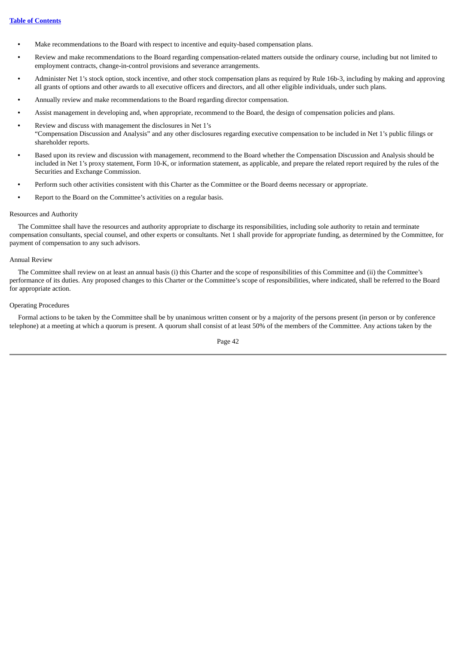- **•** Make recommendations to the Board with respect to incentive and equity-based compensation plans.
- **•** Review and make recommendations to the Board regarding compensation-related matters outside the ordinary course, including but not limited to employment contracts, change-in-control provisions and severance arrangements.
- **•** Administer Net 1's stock option, stock incentive, and other stock compensation plans as required by Rule 16b-3, including by making and approving all grants of options and other awards to all executive officers and directors, and all other eligible individuals, under such plans.
- **•** Annually review and make recommendations to the Board regarding director compensation.
- **•** Assist management in developing and, when appropriate, recommend to the Board, the design of compensation policies and plans.
- **•** Review and discuss with management the disclosures in Net 1's "Compensation Discussion and Analysis" and any other disclosures regarding executive compensation to be included in Net 1's public filings or shareholder reports.
- **•** Based upon its review and discussion with management, recommend to the Board whether the Compensation Discussion and Analysis should be included in Net 1's proxy statement, Form 10-K, or information statement, as applicable, and prepare the related report required by the rules of the Securities and Exchange Commission.
- **•** Perform such other activities consistent with this Charter as the Committee or the Board deems necessary or appropriate.
- **•** Report to the Board on the Committee's activities on a regular basis.

### Resources and Authority

The Committee shall have the resources and authority appropriate to discharge its responsibilities, including sole authority to retain and terminate compensation consultants, special counsel, and other experts or consultants. Net 1 shall provide for appropriate funding, as determined by the Committee, for payment of compensation to any such advisors.

### Annual Review

The Committee shall review on at least an annual basis (i) this Charter and the scope of responsibilities of this Committee and (ii) the Committee's performance of its duties. Any proposed changes to this Charter or the Committee's scope of responsibilities, where indicated, shall be referred to the Board for appropriate action.

# Operating Procedures

Formal actions to be taken by the Committee shall be by unanimous written consent or by a majority of the persons present (in person or by conference telephone) at a meeting at which a quorum is present. A quorum shall consist of at least 50% of the members of the Committee. Any actions taken by the

Page 42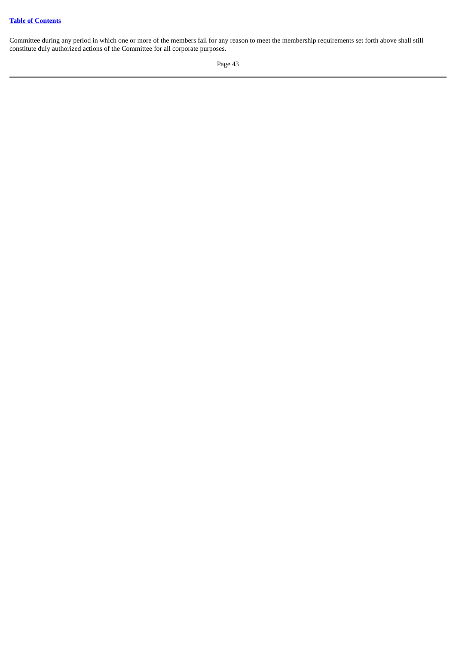Committee during any period in which one or more of the members fail for any reason to meet the membership requirements set forth above shall still constitute duly authorized actions of the Committee for all corporate purposes.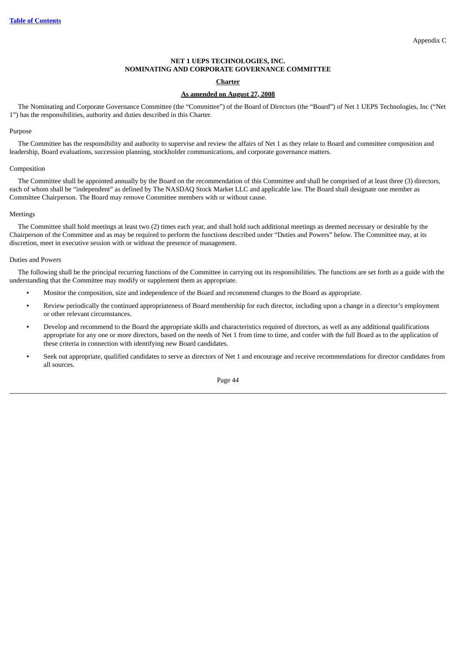# **NET 1 UEPS TECHNOLOGIES, INC. NOMINATING AND CORPORATE GOVERNANCE COMMITTEE**

# **Charter**

# **As amended on August 27, 2008**

The Nominating and Corporate Governance Committee (the "Committee") of the Board of Directors (the "Board") of Net 1 UEPS Technologies, Inc ("Net 1") has the responsibilities, authority and duties described in this Charter.

### Purpose

The Committee has the responsibility and authority to supervise and review the affairs of Net 1 as they relate to Board and committee composition and leadership, Board evaluations, succession planning, stockholder communications, and corporate governance matters.

### Composition

The Committee shall be appointed annually by the Board on the recommendation of this Committee and shall be comprised of at least three (3) directors, each of whom shall be "independent" as defined by The NASDAQ Stock Market LLC and applicable law. The Board shall designate one member as Committee Chairperson. The Board may remove Committee members with or without cause.

# Meetings

The Committee shall hold meetings at least two (2) times each year, and shall hold such additional meetings as deemed necessary or desirable by the Chairperson of the Committee and as may be required to perform the functions described under "Duties and Powers" below. The Committee may, at its discretion, meet in executive session with or without the presence of management.

### Duties and Powers

The following shall be the principal recurring functions of the Committee in carrying out its responsibilities. The functions are set forth as a guide with the understanding that the Committee may modify or supplement them as appropriate.

- **•** Monitor the composition, size and independence of the Board and recommend changes to the Board as appropriate.
- **•** Review periodically the continued appropriateness of Board membership for each director, including upon a change in a director's employment or other relevant circumstances.
- **•** Develop and recommend to the Board the appropriate skills and characteristics required of directors, as well as any additional qualifications appropriate for any one or more directors, based on the needs of Net 1 from time to time, and confer with the full Board as to the application of these criteria in connection with identifying new Board candidates.
- **•** Seek out appropriate, qualified candidates to serve as directors of Net 1 and encourage and receive recommendations for director candidates from all sources.

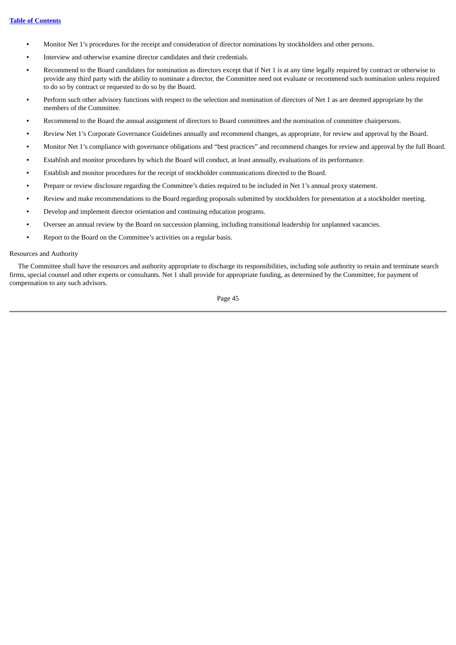- **•** Monitor Net 1's procedures for the receipt and consideration of director nominations by stockholders and other persons.
- **•** Interview and otherwise examine director candidates and their credentials.
- **•** Recommend to the Board candidates for nomination as directors except that if Net 1 is at any time legally required by contract or otherwise to provide any third party with the ability to nominate a director, the Committee need not evaluate or recommend such nomination unless required to do so by contract or requested to do so by the Board.
- **•** Perform such other advisory functions with respect to the selection and nomination of directors of Net 1 as are deemed appropriate by the members of the Committee.
- **•** Recommend to the Board the annual assignment of directors to Board committees and the nomination of committee chairpersons.
- **•** Review Net 1's Corporate Governance Guidelines annually and recommend changes, as appropriate, for review and approval by the Board.
- **•** Monitor Net 1's compliance with governance obligations and "best practices" and recommend changes for review and approval by the full Board.
- **•** Establish and monitor procedures by which the Board will conduct, at least annually, evaluations of its performance.
- **•** Establish and monitor procedures for the receipt of stockholder communications directed to the Board.
- **•** Prepare or review disclosure regarding the Committee's duties required to be included in Net 1's annual proxy statement.
- **•** Review and make recommendations to the Board regarding proposals submitted by stockholders for presentation at a stockholder meeting.
- **•** Develop and implement director orientation and continuing education programs.
- **•** Oversee an annual review by the Board on succession planning, including transitional leadership for unplanned vacancies.
- **•** Report to the Board on the Committee's activities on a regular basis.

### Resources and Authority

The Committee shall have the resources and authority appropriate to discharge its responsibilities, including sole authority to retain and terminate search firms, special counsel and other experts or consultants. Net 1 shall provide for appropriate funding, as determined by the Committee, for payment of compensation to any such advisors.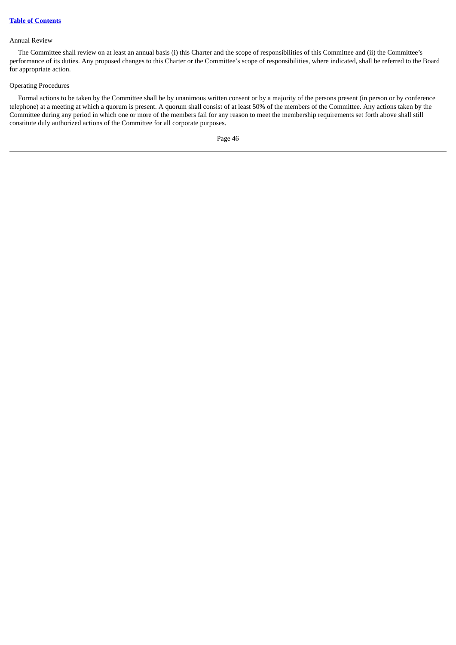### Annual Review

The Committee shall review on at least an annual basis (i) this Charter and the scope of responsibilities of this Committee and (ii) the Committee's performance of its duties. Any proposed changes to this Charter or the Committee's scope of responsibilities, where indicated, shall be referred to the Board for appropriate action.

# Operating Procedures

Formal actions to be taken by the Committee shall be by unanimous written consent or by a majority of the persons present (in person or by conference telephone) at a meeting at which a quorum is present. A quorum shall consist of at least 50% of the members of the Committee. Any actions taken by the Committee during any period in which one or more of the members fail for any reason to meet the membership requirements set forth above shall still constitute duly authorized actions of the Committee for all corporate purposes.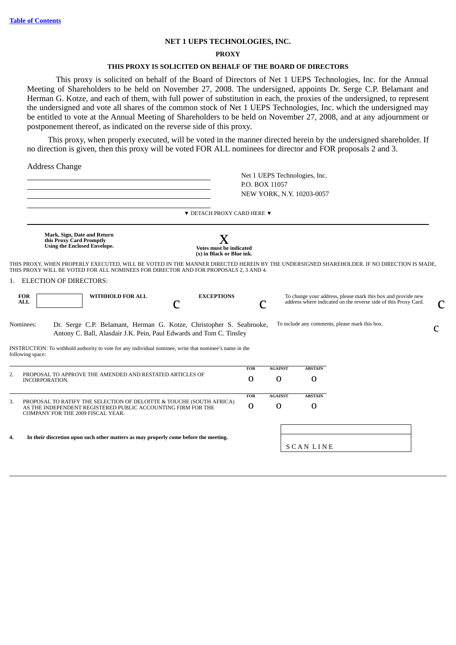# **NET 1 UEPS TECHNOLOGIES, INC.**

# **PROXY**

# **THIS PROXY IS SOLICITED ON BEHALF OF THE BOARD OF DIRECTORS**

This proxy is solicited on behalf of the Board of Directors of Net 1 UEPS Technologies, Inc. for the Annual Meeting of Shareholders to be held on November 27, 2008. The undersigned, appoints Dr. Serge C.P. Belamant and Herman G. Kotze, and each of them, with full power of substitution in each, the proxies of the undersigned, to represent the undersigned and vote all shares of the common stock of Net 1 UEPS Technologies, Inc. which the undersigned may be entitled to vote at the Annual Meeting of Shareholders to be held on November 27, 2008, and at any adjournment or postponement thereof, as indicated on the reverse side of this proxy.

This proxy, when properly executed, will be voted in the manner directed herein by the undersigned shareholder. If no direction is given, then this proxy will be voted FOR ALL nominees for director and FOR proposals 2 and 3.

Address Change

|                          |                                                                                                                                                                                                                                  |            | Net 1 UEPS Technologies, Inc.<br>P.O. BOX 11057<br>NEW YORK, N.Y. 10203-0057 |                 |                                                                                                                                 |   |
|--------------------------|----------------------------------------------------------------------------------------------------------------------------------------------------------------------------------------------------------------------------------|------------|------------------------------------------------------------------------------|-----------------|---------------------------------------------------------------------------------------------------------------------------------|---|
|                          | $\blacktriangledown$ DETACH PROXY CARD HERE $\nabla$                                                                                                                                                                             |            |                                                                              |                 |                                                                                                                                 |   |
|                          | Mark, Sign, Date and Return<br>X<br>this Proxy Card Promptly<br>Using the Enclosed Envelope.<br>Votes must be indicated<br>(x) in Black or Blue ink.                                                                             |            |                                                                              |                 |                                                                                                                                 |   |
|                          | THIS PROXY, WHEN PROPERLY EXECUTED, WILL BE VOTED IN THE MANNER DIRECTED HEREIN BY THE UNDERSIGNED SHAREHOLDER. IF NO DIRECTION IS MADE,<br>THIS PROXY WILL BE VOTED FOR ALL NOMINEES FOR DIRECTOR AND FOR PROPOSALS 2, 3 AND 4. |            |                                                                              |                 |                                                                                                                                 |   |
|                          | 1. ELECTION OF DIRECTORS:                                                                                                                                                                                                        |            |                                                                              |                 |                                                                                                                                 |   |
| <b>FOR</b><br><b>ALL</b> | WITHHOLD FOR ALL<br><b>EXCEPTIONS</b>                                                                                                                                                                                            |            |                                                                              |                 | To change your address, please mark this box and provide new<br>address where indicated on the reverse side of this Proxy Card. | C |
| Nominees:                | Dr. Serge C.P. Belamant, Herman G. Kotze, Christopher S. Seabrooke,<br>Antony C. Ball, Alasdair J.K. Pein, Paul Edwards and Tom C. Tinsley                                                                                       |            |                                                                              |                 | To include any comments, please mark this box.                                                                                  | C |
|                          | INSTRUCTION: To withhold authority to vote for any individual nominee, write that nominee's name in the<br>following space:                                                                                                      |            |                                                                              |                 |                                                                                                                                 |   |
| 2.                       | PROPOSAL TO APPROVE THE AMENDED AND RESTATED ARTICLES OF                                                                                                                                                                         | <b>FOR</b> | <b>AGAINST</b>                                                               | <b>ABSTAIN</b>  |                                                                                                                                 |   |
|                          | INCORPORATION.                                                                                                                                                                                                                   | 0          | $\Omega$                                                                     | 0               |                                                                                                                                 |   |
|                          |                                                                                                                                                                                                                                  | FOR        | <b>AGAINST</b>                                                               | <b>ABSTAIN</b>  |                                                                                                                                 |   |
| 3.                       | PROPOSAL TO RATIFY THE SELECTION OF DELOITTE & TOUCHE (SOUTH AFRICA)<br>AS THE INDEPENDENT REGISTERED PUBLIC ACCOUNTING FIRM FOR THE<br>COMPANY FOR THE 2009 FISCAL YEAR.                                                        | 0          | $\mathbf 0$                                                                  | $\Omega$        |                                                                                                                                 |   |
| 4.                       | In their discretion upon such other matters as may properly come before the meeting.                                                                                                                                             |            |                                                                              | <b>SCANLINE</b> |                                                                                                                                 |   |